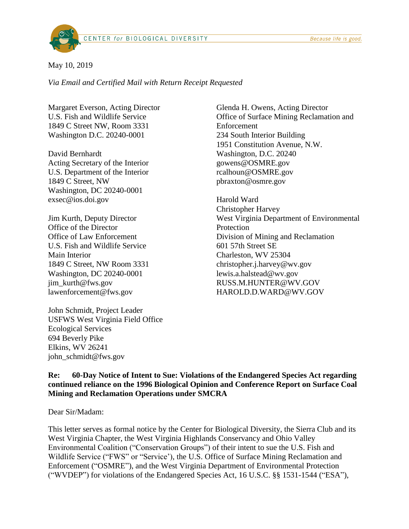

#### May 10, 2019

*Via Email and Certified Mail with Return Receipt Requested*

Margaret Everson, Acting Director U.S. Fish and Wildlife Service 1849 C Street NW, Room 3331 Washington D.C. 20240-0001

David Bernhardt Acting Secretary of the Interior U.S. Department of the Interior 1849 C Street, NW Washington, DC 20240-0001 exsec@ios.doi.gov

Jim Kurth, Deputy Director Office of the Director Office of Law Enforcement U.S. Fish and Wildlife Service Main Interior 1849 C Street, NW Room 3331 Washington, DC 20240-0001 jim\_kurth@fws.gov lawenforcement@fws.gov

John Schmidt, Project Leader USFWS West Virginia Field Office Ecological Services 694 Beverly Pike Elkins, WV 26241 john\_schmidt@fws.gov

Glenda H. Owens, Acting Director Office of Surface Mining Reclamation and Enforcement 234 South Interior Building 1951 Constitution Avenue, N.W. Washington, D.C. 20240 gowens@OSMRE.gov rcalhoun@OSMRE.gov pbraxton@osmre.gov

Harold Ward Christopher Harvey West Virginia Department of Environmental **Protection** Division of Mining and Reclamation 601 57th Street SE Charleston, WV 25304 christopher.j.harvey@wv.gov lewis.a.halstead@wv.gov RUSS.M.HUNTER@WV.GOV HAROLD.D.WARD@WV.GOV

## **Re: 60-Day Notice of Intent to Sue: Violations of the Endangered Species Act regarding continued reliance on the 1996 Biological Opinion and Conference Report on Surface Coal Mining and Reclamation Operations under SMCRA**

Dear Sir/Madam:

This letter serves as formal notice by the Center for Biological Diversity, the Sierra Club and its West Virginia Chapter, the West Virginia Highlands Conservancy and Ohio Valley Environmental Coalition ("Conservation Groups") of their intent to sue the U.S. Fish and Wildlife Service ("FWS" or "Service'), the U.S. Office of Surface Mining Reclamation and Enforcement ("OSMRE"), and the West Virginia Department of Environmental Protection ("WVDEP") for violations of the Endangered Species Act, 16 U.S.C. §§ 1531-1544 ("ESA"),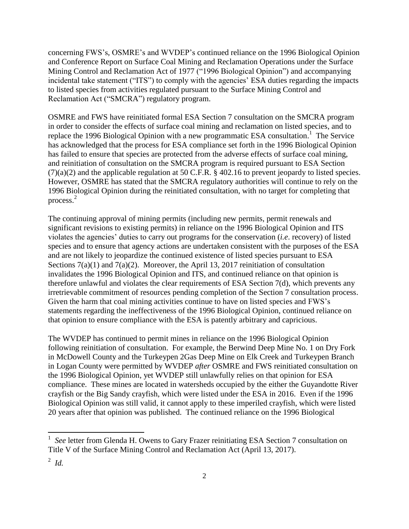concerning FWS's, OSMRE's and WVDEP's continued reliance on the 1996 Biological Opinion and Conference Report on Surface Coal Mining and Reclamation Operations under the Surface Mining Control and Reclamation Act of 1977 ("1996 Biological Opinion") and accompanying incidental take statement ("ITS") to comply with the agencies' ESA duties regarding the impacts to listed species from activities regulated pursuant to the Surface Mining Control and Reclamation Act ("SMCRA") regulatory program.

OSMRE and FWS have reinitiated formal ESA Section 7 consultation on the SMCRA program in order to consider the effects of surface coal mining and reclamation on listed species, and to replace the 1996 Biological Opinion with a new programmatic ESA consultation.<sup>1</sup> The Service has acknowledged that the process for ESA compliance set forth in the 1996 Biological Opinion has failed to ensure that species are protected from the adverse effects of surface coal mining, and reinitiation of consultation on the SMCRA program is required pursuant to ESA Section (7)(a)(2) and the applicable regulation at 50 C.F.R. § 402.16 to prevent jeopardy to listed species. However, OSMRE has stated that the SMCRA regulatory authorities will continue to rely on the 1996 Biological Opinion during the reinitiated consultation, with no target for completing that process. 2

The continuing approval of mining permits (including new permits, permit renewals and significant revisions to existing permits) in reliance on the 1996 Biological Opinion and ITS violates the agencies' duties to carry out programs for the conservation (*i.e*. recovery) of listed species and to ensure that agency actions are undertaken consistent with the purposes of the ESA and are not likely to jeopardize the continued existence of listed species pursuant to ESA Sections  $7(a)(1)$  and  $7(a)(2)$ . Moreover, the April 13, 2017 reinitiation of consultation invalidates the 1996 Biological Opinion and ITS, and continued reliance on that opinion is therefore unlawful and violates the clear requirements of ESA Section 7(d), which prevents any irretrievable commitment of resources pending completion of the Section 7 consultation process. Given the harm that coal mining activities continue to have on listed species and FWS's statements regarding the ineffectiveness of the 1996 Biological Opinion, continued reliance on that opinion to ensure compliance with the ESA is patently arbitrary and capricious.

The WVDEP has continued to permit mines in reliance on the 1996 Biological Opinion following reinitiation of consultation. For example, the Berwind Deep Mine No. 1 on Dry Fork in McDowell County and the Turkeypen 2Gas Deep Mine on Elk Creek and Turkeypen Branch in Logan County were permitted by WVDEP *after* OSMRE and FWS reinitiated consultation on the 1996 Biological Opinion, yet WVDEP still unlawfully relies on that opinion for ESA compliance. These mines are located in watersheds occupied by the either the Guyandotte River crayfish or the Big Sandy crayfish, which were listed under the ESA in 2016. Even if the 1996 Biological Opinion was still valid, it cannot apply to these imperiled crayfish, which were listed 20 years after that opinion was published. The continued reliance on the 1996 Biological

 $\overline{\phantom{a}}$ 

<sup>1</sup> *See* letter from Glenda H. Owens to Gary Frazer reinitiating ESA Section 7 consultation on Title V of the Surface Mining Control and Reclamation Act (April 13, 2017).

<sup>2</sup> *Id.*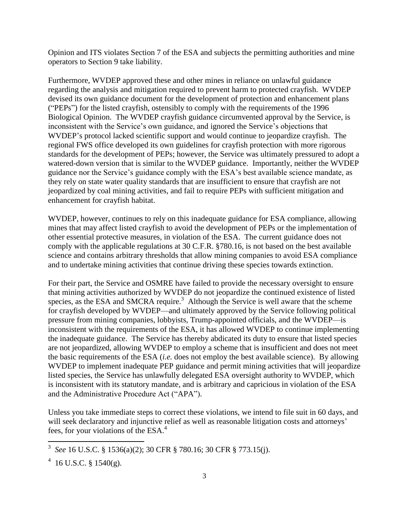Opinion and ITS violates Section 7 of the ESA and subjects the permitting authorities and mine operators to Section 9 take liability.

Furthermore, WVDEP approved these and other mines in reliance on unlawful guidance regarding the analysis and mitigation required to prevent harm to protected crayfish. WVDEP devised its own guidance document for the development of protection and enhancement plans ("PEPs") for the listed crayfish, ostensibly to comply with the requirements of the 1996 Biological Opinion. The WVDEP crayfish guidance circumvented approval by the Service, is inconsistent with the Service's own guidance, and ignored the Service's objections that WVDEP's protocol lacked scientific support and would continue to jeopardize crayfish. The regional FWS office developed its own guidelines for crayfish protection with more rigorous standards for the development of PEPs; however, the Service was ultimately pressured to adopt a watered-down version that is similar to the WVDEP guidance. Importantly, neither the WVDEP guidance nor the Service's guidance comply with the ESA's best available science mandate, as they rely on state water quality standards that are insufficient to ensure that crayfish are not jeopardized by coal mining activities, and fail to require PEPs with sufficient mitigation and enhancement for crayfish habitat.

WVDEP, however, continues to rely on this inadequate guidance for ESA compliance, allowing mines that may affect listed crayfish to avoid the development of PEPs or the implementation of other essential protective measures, in violation of the ESA. The current guidance does not comply with the applicable regulations at 30 C.F.R. §780.16, is not based on the best available science and contains arbitrary thresholds that allow mining companies to avoid ESA compliance and to undertake mining activities that continue driving these species towards extinction.

For their part, the Service and OSMRE have failed to provide the necessary oversight to ensure that mining activities authorized by WVDEP do not jeopardize the continued existence of listed species, as the ESA and SMCRA require.<sup>3</sup> Although the Service is well aware that the scheme for crayfish developed by WVDEP—and ultimately approved by the Service following political pressure from mining companies, lobbyists, Trump-appointed officials, and the WVDEP—is inconsistent with the requirements of the ESA, it has allowed WVDEP to continue implementing the inadequate guidance. The Service has thereby abdicated its duty to ensure that listed species are not jeopardized, allowing WVDEP to employ a scheme that is insufficient and does not meet the basic requirements of the ESA (*i.e.* does not employ the best available science). By allowing WVDEP to implement inadequate PEP guidance and permit mining activities that will jeopardize listed species, the Service has unlawfully delegated ESA oversight authority to WVDEP, which is inconsistent with its statutory mandate, and is arbitrary and capricious in violation of the ESA and the Administrative Procedure Act ("APA").

Unless you take immediate steps to correct these violations, we intend to file suit in 60 days, and will seek declaratory and injunctive relief as well as reasonable litigation costs and attorneys' fees, for your violations of the ESA. 4

 $\overline{\phantom{a}}$ 

<sup>3</sup> *See* 16 U.S.C. § 1536(a)(2); 30 CFR § 780.16; 30 CFR § 773.15(j).

 $4$  16 U.S.C. § 1540(g).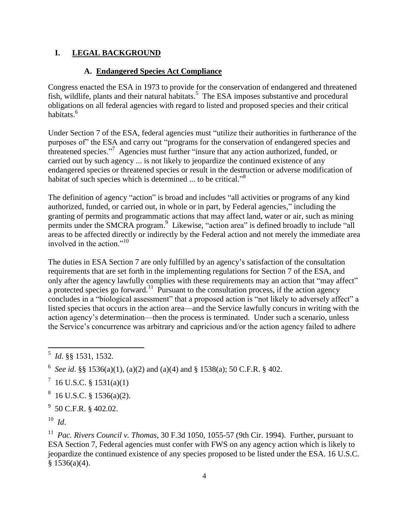### **I. LEGAL BACKGROUND**

#### **A. Endangered Species Act Compliance**

Congress enacted the ESA in 1973 to provide for the conservation of endangered and threatened fish, wildlife, plants and their natural habitats.<sup>5</sup> The ESA imposes substantive and procedural obligations on all federal agencies with regard to listed and proposed species and their critical habitats.<sup>6</sup>

Under Section 7 of the ESA, federal agencies must "utilize their authorities in furtherance of the purposes of" the ESA and carry out "programs for the conservation of endangered species and threatened species."<sup>7</sup> Agencies must further "insure that any action authorized, funded, or carried out by such agency ... is not likely to jeopardize the continued existence of any endangered species or threatened species or result in the destruction or adverse modification of habitat of such species which is determined ... to be critical."<sup>8</sup>

The definition of agency "action" is broad and includes "all activities or programs of any kind authorized, funded, or carried out, in whole or in part, by Federal agencies," including the granting of permits and programmatic actions that may affect land, water or air, such as mining permits under the SMCRA program.<sup>9</sup> Likewise, "action area" is defined broadly to include "all areas to be affected directly or indirectly by the Federal action and not merely the immediate area involved in the action." $^{10}$ 

The duties in ESA Section 7 are only fulfilled by an agency's satisfaction of the consultation requirements that are set forth in the implementing regulations for Section 7 of the ESA, and only after the agency lawfully complies with these requirements may an action that "may affect" a protected species go forward.<sup>11</sup> Pursuant to the consultation process, if the action agency concludes in a "biological assessment" that a proposed action is "not likely to adversely affect" a listed species that occurs in the action area—and the Service lawfully concurs in writing with the action agency's determination—then the process is terminated. Under such a scenario, unless the Service's concurrence was arbitrary and capricious and/or the action agency failed to adhere

 $9\,$  50 C.F.R. § 402.02.

<sup>11</sup> Pac. Rivers Council v. Thomas, 30 F.3d 1050, 1055-57 (9th Cir. 1994). Further, pursuant to ESA Section 7, Federal agencies must confer with FWS on any agency action which is likely to jeopardize the continued existence of any species proposed to be listed under the ESA. 16 U.S.C.  $§ 1536(a)(4).$ 

 5 *Id*. §§ 1531, 1532.

<sup>&</sup>lt;sup>6</sup> See id. §§ 1536(a)(1), (a)(2) and (a)(4) and § 1538(a); 50 C.F.R. § 402.

 $^7$  16 U.S.C. § 1531(a)(1)

 $8\,$  16 U.S.C. § 1536(a)(2).

<sup>10</sup> *Id*.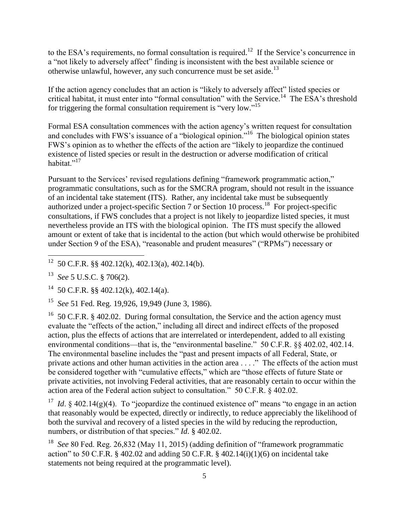to the ESA's requirements, no formal consultation is required.<sup>12</sup> If the Service's concurrence in a "not likely to adversely affect" finding is inconsistent with the best available science or otherwise unlawful, however, any such concurrence must be set aside.<sup>13</sup>

If the action agency concludes that an action is "likely to adversely affect" listed species or critical habitat, it must enter into "formal consultation" with the Service.<sup>14</sup> The ESA's threshold for triggering the formal consultation requirement is "very low."<sup>15</sup>

Formal ESA consultation commences with the action agency's written request for consultation and concludes with FWS's issuance of a "biological opinion."<sup>16</sup> The biological opinion states FWS's opinion as to whether the effects of the action are "likely to jeopardize the continued existence of listed species or result in the destruction or adverse modification of critical habitat."<sup>17</sup>

Pursuant to the Services' revised regulations defining "framework programmatic action," programmatic consultations, such as for the SMCRA program, should not result in the issuance of an incidental take statement (ITS). Rather, any incidental take must be subsequently authorized under a project-specific Section 7 or Section 10 process.<sup>18</sup> For project-specific consultations, if FWS concludes that a project is not likely to jeopardize listed species, it must nevertheless provide an ITS with the biological opinion. The ITS must specify the allowed amount or extent of take that is incidental to the action (but which would otherwise be prohibited under Section 9 of the ESA), "reasonable and prudent measures" ("RPMs") necessary or

<sup>16</sup> 50 C.F.R. § 402.02. During formal consultation, the Service and the action agency must evaluate the "effects of the action," including all direct and indirect effects of the proposed action, plus the effects of actions that are interrelated or interdependent, added to all existing environmental conditions—that is, the "environmental baseline." 50 C.F.R. §§ 402.02, 402.14. The environmental baseline includes the "past and present impacts of all Federal, State, or private actions and other human activities in the action area . . . ." The effects of the action must be considered together with "cumulative effects," which are "those effects of future State or private activities, not involving Federal activities, that are reasonably certain to occur within the action area of the Federal action subject to consultation." 50 C.F.R. § 402.02.

<sup>17</sup> *Id.* § 402.14(g)(4). To "jeopardize the continued existence of" means "to engage in an action that reasonably would be expected, directly or indirectly, to reduce appreciably the likelihood of both the survival and recovery of a listed species in the wild by reducing the reproduction, numbers, or distribution of that species." *Id*. § 402.02.

<sup>18</sup> See 80 Fed. Reg. 26,832 (May 11, 2015) (adding definition of "framework programmatic action" to 50 C.F.R.  $\S$  402.02 and adding 50 C.F.R.  $\S$  402.14(i)(1)(6) on incidental take statements not being required at the programmatic level).

 $\overline{12}$  50 C.F.R. §§ 402.12(k), 402.13(a), 402.14(b).

<sup>13</sup> *See* 5 U.S.C. § 706(2).

<sup>&</sup>lt;sup>14</sup> 50 C.F.R. §§ 402.12(k), 402.14(a).

<sup>15</sup> *See* 51 Fed. Reg. 19,926, 19,949 (June 3, 1986).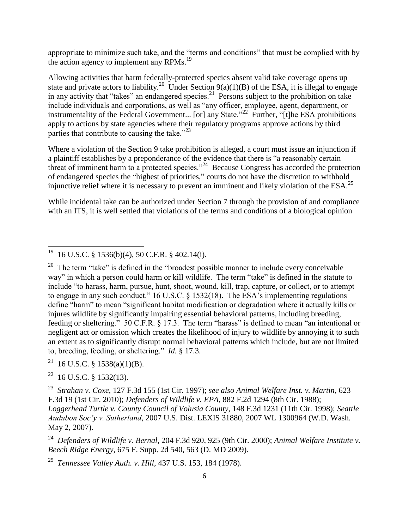appropriate to minimize such take, and the "terms and conditions" that must be complied with by the action agency to implement any RPMs.<sup>19</sup>

Allowing activities that harm federally-protected species absent valid take coverage opens up state and private actors to liability.<sup>20</sup> Under Section 9(a)(1)(B) of the ESA, it is illegal to engage in any activity that "takes" an endangered species.<sup>21</sup> Persons subject to the prohibition on take include individuals and corporations, as well as "any officer, employee, agent, department, or instrumentality of the Federal Government... [or] any State."<sup>22</sup> Further, "[t]he ESA prohibitions apply to actions by state agencies where their regulatory programs approve actions by third parties that contribute to causing the take." $23$ 

Where a violation of the Section 9 take prohibition is alleged, a court must issue an injunction if a plaintiff establishes by a preponderance of the evidence that there is "a reasonably certain threat of imminent harm to a protected species."<sup>24</sup> Because Congress has accorded the protection of endangered species the "highest of priorities," courts do not have the discretion to withhold injunctive relief where it is necessary to prevent an imminent and likely violation of the ESA.<sup>25</sup>

While incidental take can be authorized under Section 7 through the provision of and compliance with an ITS, it is well settled that violations of the terms and conditions of a biological opinion

24 *Defenders of Wildlife v. Bernal*, 204 F.3d 920, 925 (9th Cir. 2000); *Animal Welfare Institute v. Beech Ridge Energy*, 675 F. Supp. 2d 540, 563 (D. MD 2009).

 19 16 U.S.C. § 1536(b)(4), 50 C.F.R. § 402.14(i).

<sup>&</sup>lt;sup>20</sup> The term "take" is defined in the "broadest possible manner to include every conceivable way" in which a person could harm or kill wildlife. The term "take" is defined in the statute to include "to harass, harm, pursue, hunt, shoot, wound, kill, trap, capture, or collect, or to attempt to engage in any such conduct." 16 U.S.C. § 1532(18). The ESA's implementing regulations define "harm" to mean "significant habitat modification or degradation where it actually kills or injures wildlife by significantly impairing essential behavioral patterns, including breeding, feeding or sheltering." 50 C.F.R. § 17.3. The term "harass" is defined to mean "an intentional or negligent act or omission which creates the likelihood of injury to wildlife by annoying it to such an extent as to significantly disrupt normal behavioral patterns which include, but are not limited to, breeding, feeding, or sheltering." *Id.* § 17.3.

<sup>&</sup>lt;sup>21</sup> 16 U.S.C. § 1538(a)(1)(B).

 $22$  16 U.S.C. § 1532(13).

<sup>23</sup> *Strahan v. Coxe*, 127 F.3d 155 (1st Cir. 1997); *see also Animal Welfare Inst. v. Martin*, 623 F.3d 19 (1st Cir. 2010); *Defenders of Wildlife v. EPA*, 882 F.2d 1294 (8th Cir. 1988); *Loggerhead Turtle v. County Council of Volusia County*, 148 F.3d 1231 (11th Cir. 1998); *Seattle Audubon Soc'y v. Sutherland*, 2007 U.S. Dist. LEXIS 31880, 2007 WL 1300964 (W.D. Wash. May 2, 2007).

<sup>25</sup> *Tennessee Valley Auth. v. Hill*, 437 U.S. 153, 184 (1978).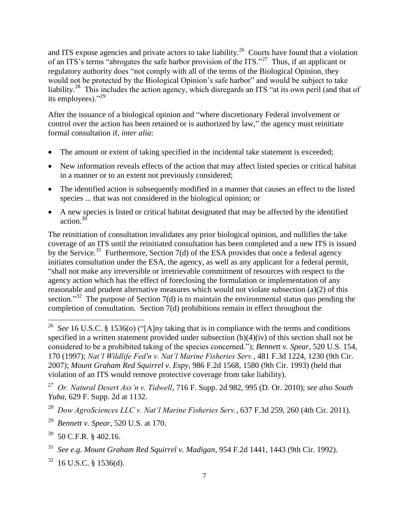and ITS expose agencies and private actors to take liability.<sup>26</sup> Courts have found that a violation of an ITS's terms "abrogates the safe harbor provision of the ITS."<sup>27</sup> Thus, if an applicant or regulatory authority does "not comply with all of the terms of the Biological Opinion, they would not be protected by the Biological Opinion's safe harbor" and would be subject to take liability.<sup>28</sup> This includes the action agency, which disregards an ITS "at its own peril (and that of its employees)." $^{29}$ 

After the issuance of a biological opinion and "where discretionary Federal involvement or control over the action has been retained or is authorized by law," the agency must reinitiate formal consultation if, *inter alia*:

- The amount or extent of taking specified in the incidental take statement is exceeded;
- New information reveals effects of the action that may affect listed species or critical habitat in a manner or to an extent not previously considered;
- The identified action is subsequently modified in a manner that causes an effect to the listed species ... that was not considered in the biological opinion; or
- A new species is listed or critical habitat designated that may be affected by the identified action.<sup>3</sup>

The reinitiation of consultation invalidates any prior biological opinion, and nullifies the take coverage of an ITS until the reinitiated consultation has been completed and a new ITS is issued by the Service.<sup>31</sup> Furthermore, Section 7(d) of the ESA provides that once a federal agency initiates consultation under the ESA, the agency, as well as any applicant for a federal permit, "shall not make any irreversible or irretrievable commitment of resources with respect to the agency action which has the effect of foreclosing the formulation or implementation of any reasonable and prudent alternative measures which would not violate subsection (a)(2) of this section."<sup>32</sup> The purpose of Section 7(d) is to maintain the environmental status quo pending the completion of consultation. Section 7(d) prohibitions remain in effect throughout the

 $\frac{1}{26}$  *See* 16 U.S.C. § 1536(o) ("[A]ny taking that is in compliance with the terms and conditions specified in a written statement provided under subsection (b)(4)(iv) of this section shall not be considered to be a prohibited taking of the species concerned."); *Bennett v. Spear*, 520 U.S. 154, 170 (1997); *Nat'l Wildlife Fed'n v. Nat'l Marine Fisheries Serv.*, 481 F.3d 1224, 1230 (9th Cir. 2007); *Mount Graham Red Squirrel v. Espy*, 986 F.2d 1568, 1580 (9th Cir. 1993) (held that violation of an ITS would remove protective coverage from take liability).

<sup>27</sup> *Or. Natural Desert Ass'n v. Tidwell*, 716 F. Supp. 2d 982, 995 (D. Or. 2010); *see also South Yuba*, 629 F. Supp. 2d at 1132.

<sup>28</sup> *Dow AgroSciences LLC v. Nat'l Marine Fisheries Serv.*, 637 F.3d 259, 260 (4th Cir. 2011).

<sup>29</sup>  *Bennett v. Spear*, 520 U.S. at 170.

 $30$  50 C.F.R. § 402.16.

<sup>31</sup> *See e.g. Mount Graham Red Squirrel v. Madigan*, 954 F.2d 1441, 1443 (9th Cir. 1992).

 $32$  16 U.S.C. § 1536(d).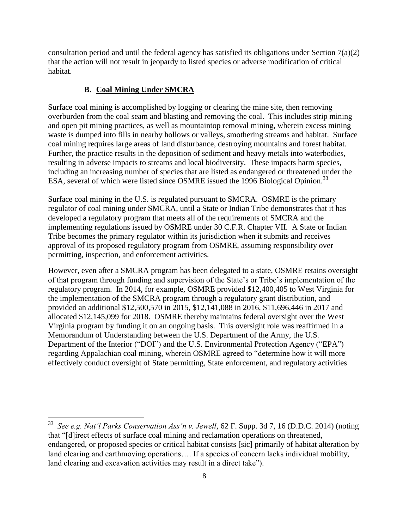consultation period and until the federal agency has satisfied its obligations under Section  $7(a)(2)$ that the action will not result in jeopardy to listed species or adverse modification of critical habitat.

## **B. Coal Mining Under SMCRA**

 $\overline{a}$ 

Surface coal mining is accomplished by logging or clearing the mine site, then removing overburden from the coal seam and blasting and removing the coal. This includes strip mining and open pit mining practices, as well as mountaintop removal mining, wherein excess mining waste is dumped into fills in nearby hollows or valleys, smothering streams and habitat. Surface coal mining requires large areas of land disturbance, destroying mountains and forest habitat. Further, the practice results in the deposition of sediment and heavy metals into waterbodies, resulting in adverse impacts to streams and local biodiversity. These impacts harm species, including an increasing number of species that are listed as endangered or threatened under the ESA, several of which were listed since OSMRE issued the 1996 Biological Opinion.<sup>33</sup>

Surface coal mining in the U.S. is regulated pursuant to SMCRA. OSMRE is the primary regulator of coal mining under SMCRA, until a State or Indian Tribe demonstrates that it has developed a regulatory program that meets all of the requirements of SMCRA and the implementing regulations issued by OSMRE under 30 C.F.R. Chapter VII. A State or Indian Tribe becomes the primary regulator within its jurisdiction when it submits and receives approval of its proposed regulatory program from OSMRE, assuming responsibility over permitting, inspection, and enforcement activities.

However, even after a SMCRA program has been delegated to a state, OSMRE retains oversight of that program through funding and supervision of the State's or Tribe's implementation of the regulatory program. In 2014, for example, OSMRE provided \$12,400,405 to West Virginia for the implementation of the SMCRA program through a regulatory grant distribution, and provided an additional \$12,500,570 in 2015, \$12,141,088 in 2016, \$11,696,446 in 2017 and allocated \$12,145,099 for 2018. OSMRE thereby maintains federal oversight over the West Virginia program by funding it on an ongoing basis. This oversight role was reaffirmed in a Memorandum of Understanding between the U.S. Department of the Army, the U.S. Department of the Interior ("DOI") and the U.S. Environmental Protection Agency ("EPA") regarding Appalachian coal mining, wherein OSMRE agreed to "determine how it will more effectively conduct oversight of State permitting, State enforcement, and regulatory activities

<sup>33</sup> *See e.g. Nat'l Parks Conservation Ass'n v. Jewell*, 62 F. Supp. 3d 7, 16 (D.D.C. 2014) (noting that "[d]irect effects of surface coal mining and reclamation operations on threatened, endangered, or proposed species or critical habitat consists [sic] primarily of habitat alteration by land clearing and earthmoving operations.... If a species of concern lacks individual mobility, land clearing and excavation activities may result in a direct take").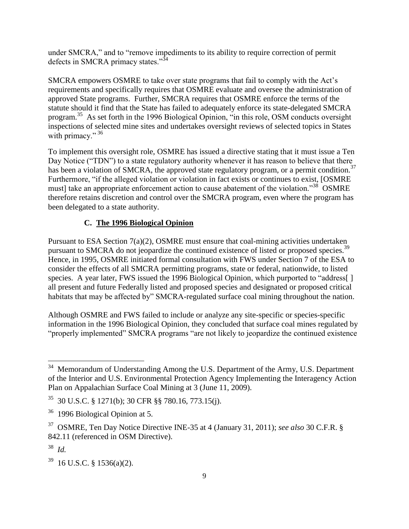under SMCRA," and to "remove impediments to its ability to require correction of permit defects in SMCRA primacy states." $34$ 

SMCRA empowers OSMRE to take over state programs that fail to comply with the Act's requirements and specifically requires that OSMRE evaluate and oversee the administration of approved State programs. Further, SMCRA requires that OSMRE enforce the terms of the statute should it find that the State has failed to adequately enforce its state-delegated SMCRA program.<sup>35</sup> As set forth in the 1996 Biological Opinion, "in this role, OSM conducts oversight inspections of selected mine sites and undertakes oversight reviews of selected topics in States with primacy."  $36$ 

To implement this oversight role, OSMRE has issued a directive stating that it must issue a Ten Day Notice ("TDN") to a state regulatory authority whenever it has reason to believe that there has been a violation of SMCRA, the approved state regulatory program, or a permit condition.<sup>37</sup> Furthermore, "if the alleged violation or violation in fact exists or continues to exist, [OSMRE must] take an appropriate enforcement action to cause abatement of the violation."<sup>38</sup> OSMRE therefore retains discretion and control over the SMCRA program, even where the program has been delegated to a state authority.

# **C. The 1996 Biological Opinion**

Pursuant to ESA Section 7(a)(2), OSMRE must ensure that coal-mining activities undertaken pursuant to SMCRA do not jeopardize the continued existence of listed or proposed species.<sup>39</sup> Hence, in 1995, OSMRE initiated formal consultation with FWS under Section 7 of the ESA to consider the effects of all SMCRA permitting programs, state or federal, nationwide, to listed species. A year later, FWS issued the 1996 Biological Opinion, which purported to "address[] all present and future Federally listed and proposed species and designated or proposed critical habitats that may be affected by" SMCRA-regulated surface coal mining throughout the nation.

Although OSMRE and FWS failed to include or analyze any site-specific or species-specific information in the 1996 Biological Opinion, they concluded that surface coal mines regulated by "properly implemented" SMCRA programs "are not likely to jeopardize the continued existence

<sup>&</sup>lt;sup>34</sup> Memorandum of Understanding Among the U.S. Department of the Army, U.S. Department of the Interior and U.S. Environmental Protection Agency Implementing the Interagency Action Plan on Appalachian Surface Coal Mining at 3 (June 11, 2009).

<sup>35</sup> 30 U.S.C. § 1271(b); 30 CFR §§ 780.16, 773.15(j).

<sup>36</sup> 1996 Biological Opinion at 5.

<sup>37</sup> OSMRE, Ten Day Notice Directive INE-35 at 4 (January 31, 2011); *see also* 30 C.F.R. § 842.11 (referenced in OSM Directive).

<sup>38</sup> *Id.*

 $39$  16 U.S.C. § 1536(a)(2).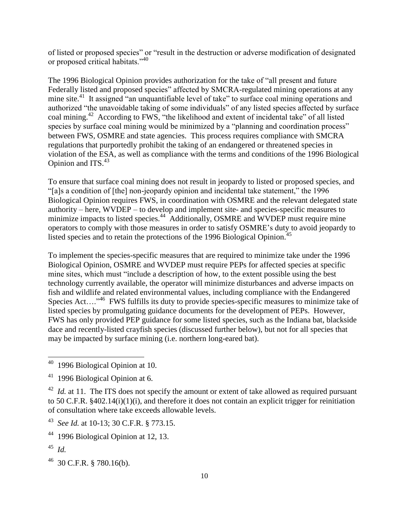of listed or proposed species" or "result in the destruction or adverse modification of designated or proposed critical habitats."<sup>40</sup>

The 1996 Biological Opinion provides authorization for the take of "all present and future Federally listed and proposed species" affected by SMCRA-regulated mining operations at any mine site.<sup>41</sup> It assigned "an unquantifiable level of take" to surface coal mining operations and authorized "the unavoidable taking of some individuals" of any listed species affected by surface coal mining.<sup>42</sup> According to FWS, "the likelihood and extent of incidental take" of all listed species by surface coal mining would be minimized by a "planning and coordination process" between FWS, OSMRE and state agencies. This process requires compliance with SMCRA regulations that purportedly prohibit the taking of an endangered or threatened species in violation of the ESA, as well as compliance with the terms and conditions of the 1996 Biological Opinion and ITS. $43$ 

To ensure that surface coal mining does not result in jeopardy to listed or proposed species, and "[a]s a condition of [the] non-jeopardy opinion and incidental take statement," the 1996 Biological Opinion requires FWS, in coordination with OSMRE and the relevant delegated state authority – here, WVDEP – to develop and implement site- and species-specific measures to minimize impacts to listed species.<sup>44</sup> Additionally, OSMRE and WVDEP must require mine operators to comply with those measures in order to satisfy OSMRE's duty to avoid jeopardy to listed species and to retain the protections of the 1996 Biological Opinion.<sup>45</sup>

To implement the species-specific measures that are required to minimize take under the 1996 Biological Opinion, OSMRE and WVDEP must require PEPs for affected species at specific mine sites, which must "include a description of how, to the extent possible using the best technology currently available, the operator will minimize disturbances and adverse impacts on fish and wildlife and related environmental values, including compliance with the Endangered Species Act....<sup>,46</sup> FWS fulfills its duty to provide species-specific measures to minimize take of listed species by promulgating guidance documents for the development of PEPs. However, FWS has only provided PEP guidance for some listed species, such as the Indiana bat, blackside dace and recently-listed crayfish species (discussed further below), but not for all species that may be impacted by surface mining (i.e. northern long-eared bat).

 $\overline{\phantom{a}}$ 

<sup>40</sup> 1996 Biological Opinion at 10.

 $41$  1996 Biological Opinion at 6.

 $^{42}$  *Id.* at 11. The ITS does not specify the amount or extent of take allowed as required pursuant to 50 C.F.R. §402.14(i)(1)(i), and therefore it does not contain an explicit trigger for reinitiation of consultation where take exceeds allowable levels.

<sup>43</sup> *See Id.* at 10-13; 30 C.F.R. § 773.15.

<sup>44</sup> 1996 Biological Opinion at 12, 13.

<sup>45</sup> *Id.*

 $^{46}$  30 C.F.R. § 780.16(b).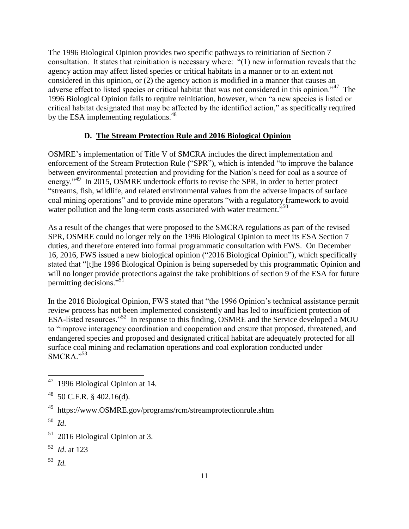The 1996 Biological Opinion provides two specific pathways to reinitiation of Section 7 consultation. It states that reinitiation is necessary where: "(1) new information reveals that the agency action may affect listed species or critical habitats in a manner or to an extent not considered in this opinion, or (2) the agency action is modified in a manner that causes an adverse effect to listed species or critical habitat that was not considered in this opinion."<sup>47</sup> The 1996 Biological Opinion fails to require reinitiation, however, when "a new species is listed or critical habitat designated that may be affected by the identified action," as specifically required by the ESA implementing regulations.<sup>48</sup>

# **D. The Stream Protection Rule and 2016 Biological Opinion**

OSMRE's implementation of Title V of SMCRA includes the direct implementation and enforcement of the Stream Protection Rule ("SPR"), which is intended "to improve the balance between environmental protection and providing for the Nation's need for coal as a source of energy."<sup>49</sup> In 2015, OSMRE undertook efforts to revise the SPR, in order to better protect "streams, fish, wildlife, and related environmental values from the adverse impacts of surface coal mining operations" and to provide mine operators "with a regulatory framework to avoid water pollution and the long-term costs associated with water treatment.",<sup>50</sup>

As a result of the changes that were proposed to the SMCRA regulations as part of the revised SPR, OSMRE could no longer rely on the 1996 Biological Opinion to meet its ESA Section 7 duties, and therefore entered into formal programmatic consultation with FWS. On December 16, 2016, FWS issued a new biological opinion ("2016 Biological Opinion"), which specifically stated that "[t]he 1996 Biological Opinion is being superseded by this programmatic Opinion and will no longer provide protections against the take prohibitions of section 9 of the ESA for future permitting decisions."<sup>51</sup>

In the 2016 Biological Opinion, FWS stated that "the 1996 Opinion's technical assistance permit review process has not been implemented consistently and has led to insufficient protection of ESA-listed resources."<sup>52</sup> In response to this finding, OSMRE and the Service developed a MOU to "improve interagency coordination and cooperation and ensure that proposed, threatened, and endangered species and proposed and designated critical habitat are adequately protected for all surface coal mining and reclamation operations and coal exploration conducted under  $SMCRA.$ <sup>53</sup>

53 *Id.*

 47 1996 Biological Opinion at 14*.*

 $^{48}$  50 C.F.R. § 402.16(d).

<sup>49</sup> https://www.OSMRE.gov/programs/rcm/streamprotectionrule.shtm

<sup>50</sup> *Id*.

<sup>&</sup>lt;sup>51</sup> 2016 Biological Opinion at 3.

<sup>52</sup> *Id*. at 123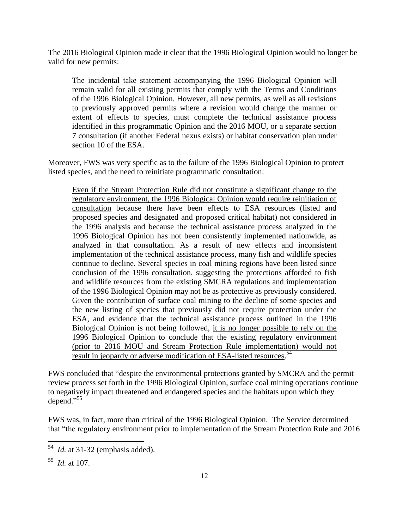The 2016 Biological Opinion made it clear that the 1996 Biological Opinion would no longer be valid for new permits:

The incidental take statement accompanying the 1996 Biological Opinion will remain valid for all existing permits that comply with the Terms and Conditions of the 1996 Biological Opinion. However, all new permits, as well as all revisions to previously approved permits where a revision would change the manner or extent of effects to species, must complete the technical assistance process identified in this programmatic Opinion and the 2016 MOU, or a separate section 7 consultation (if another Federal nexus exists) or habitat conservation plan under section 10 of the ESA.

Moreover, FWS was very specific as to the failure of the 1996 Biological Opinion to protect listed species, and the need to reinitiate programmatic consultation:

Even if the Stream Protection Rule did not constitute a significant change to the regulatory environment, the 1996 Biological Opinion would require reinitiation of consultation because there have been effects to ESA resources (listed and proposed species and designated and proposed critical habitat) not considered in the 1996 analysis and because the technical assistance process analyzed in the 1996 Biological Opinion has not been consistently implemented nationwide, as analyzed in that consultation. As a result of new effects and inconsistent implementation of the technical assistance process, many fish and wildlife species continue to decline. Several species in coal mining regions have been listed since conclusion of the 1996 consultation, suggesting the protections afforded to fish and wildlife resources from the existing SMCRA regulations and implementation of the 1996 Biological Opinion may not be as protective as previously considered. Given the contribution of surface coal mining to the decline of some species and the new listing of species that previously did not require protection under the ESA, and evidence that the technical assistance process outlined in the 1996 Biological Opinion is not being followed, it is no longer possible to rely on the 1996 Biological Opinion to conclude that the existing regulatory environment (prior to 2016 MOU and Stream Protection Rule implementation) would not result in jeopardy or adverse modification of ESA-listed resources. 54

FWS concluded that "despite the environmental protections granted by SMCRA and the permit review process set forth in the 1996 Biological Opinion, surface coal mining operations continue to negatively impact threatened and endangered species and the habitats upon which they depend." 55

FWS was, in fact, more than critical of the 1996 Biological Opinion. The Service determined that "the regulatory environment prior to implementation of the Stream Protection Rule and 2016

 54 *Id.* at 31-32 (emphasis added).

<sup>55</sup> *Id.* at 107.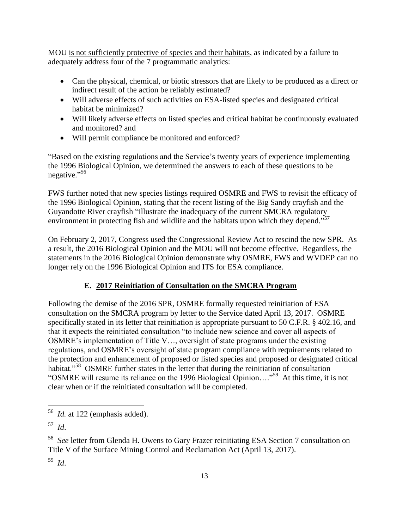MOU is not sufficiently protective of species and their habitats, as indicated by a failure to adequately address four of the 7 programmatic analytics:

- Can the physical, chemical, or biotic stressors that are likely to be produced as a direct or indirect result of the action be reliably estimated?
- Will adverse effects of such activities on ESA-listed species and designated critical habitat be minimized?
- Will likely adverse effects on listed species and critical habitat be continuously evaluated and monitored? and
- Will permit compliance be monitored and enforced?

"Based on the existing regulations and the Service's twenty years of experience implementing the 1996 Biological Opinion, we determined the answers to each of these questions to be negative."<sup>56</sup>

FWS further noted that new species listings required OSMRE and FWS to revisit the efficacy of the 1996 Biological Opinion, stating that the recent listing of the Big Sandy crayfish and the Guyandotte River crayfish "illustrate the inadequacy of the current SMCRA regulatory environment in protecting fish and wildlife and the habitats upon which they depend."<sup>57</sup>

On February 2, 2017, Congress used the Congressional Review Act to rescind the new SPR. As a result, the 2016 Biological Opinion and the MOU will not become effective. Regardless, the statements in the 2016 Biological Opinion demonstrate why OSMRE, FWS and WVDEP can no longer rely on the 1996 Biological Opinion and ITS for ESA compliance.

# **E. 2017 Reinitiation of Consultation on the SMCRA Program**

Following the demise of the 2016 SPR, OSMRE formally requested reinitiation of ESA consultation on the SMCRA program by letter to the Service dated April 13, 2017. OSMRE specifically stated in its letter that reinitiation is appropriate pursuant to 50 C.F.R. § 402.16, and that it expects the reinitiated consultation "to include new science and cover all aspects of OSMRE's implementation of Title V…, oversight of state programs under the existing regulations, and OSMRE's oversight of state program compliance with requirements related to the protection and enhancement of proposed or listed species and proposed or designated critical habitat."<sup>58</sup> OSMRE further states in the letter that during the reinitiation of consultation "OSMRE will resume its reliance on the 1996 Biological Opinion...."<sup>59</sup> At this time, it is not clear when or if the reinitiated consultation will be completed.

59 *Id*.

 56 *Id.* at 122 (emphasis added).

<sup>57</sup> *Id*.

<sup>58</sup> *See* letter from Glenda H. Owens to Gary Frazer reinitiating ESA Section 7 consultation on Title V of the Surface Mining Control and Reclamation Act (April 13, 2017).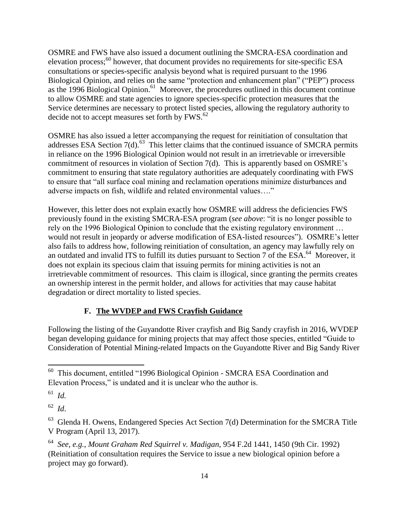OSMRE and FWS have also issued a document outlining the SMCRA-ESA coordination and elevation process; $60$  however, that document provides no requirements for site-specific ESA consultations or species-specific analysis beyond what is required pursuant to the 1996 Biological Opinion, and relies on the same "protection and enhancement plan" ("PEP") process as the 1996 Biological Opinion.<sup>61</sup> Moreover, the procedures outlined in this document continue to allow OSMRE and state agencies to ignore species-specific protection measures that the Service determines are necessary to protect listed species, allowing the regulatory authority to decide not to accept measures set forth by FWS.<sup>62</sup>

OSMRE has also issued a letter accompanying the request for reinitiation of consultation that addresses ESA Section  $7(d)$ .<sup>63</sup> This letter claims that the continued issuance of SMCRA permits in reliance on the 1996 Biological Opinion would not result in an irretrievable or irreversible commitment of resources in violation of Section 7(d). This is apparently based on OSMRE's commitment to ensuring that state regulatory authorities are adequately coordinating with FWS to ensure that "all surface coal mining and reclamation operations minimize disturbances and adverse impacts on fish, wildlife and related environmental values…."

However, this letter does not explain exactly how OSMRE will address the deficiencies FWS previously found in the existing SMCRA-ESA program (*see above*: "it is no longer possible to rely on the 1996 Biological Opinion to conclude that the existing regulatory environment … would not result in jeopardy or adverse modification of ESA-listed resources"). OSMRE's letter also fails to address how, following reinitiation of consultation, an agency may lawfully rely on an outdated and invalid ITS to fulfill its duties pursuant to Section 7 of the ESA.<sup>64</sup> Moreover, it does not explain its specious claim that issuing permits for mining activities is not an irretrievable commitment of resources. This claim is illogical, since granting the permits creates an ownership interest in the permit holder, and allows for activities that may cause habitat degradation or direct mortality to listed species.

#### **F. The WVDEP and FWS Crayfish Guidance**

Following the listing of the Guyandotte River crayfish and Big Sandy crayfish in 2016, WVDEP began developing guidance for mining projects that may affect those species, entitled "Guide to Consideration of Potential Mining-related Impacts on the Guyandotte River and Big Sandy River

 60 This document, entitled "1996 Biological Opinion - SMCRA ESA Coordination and Elevation Process," is undated and it is unclear who the author is.

<sup>61</sup> *Id.*

<sup>62</sup> *Id*.

 $63$  Glenda H. Owens, Endangered Species Act Section 7(d) Determination for the SMCRA Title V Program (April 13, 2017).

<sup>64</sup> *See, e.g., Mount Graham Red Squirrel v. Madigan*, 954 F.2d 1441, 1450 (9th Cir. 1992) (Reinitiation of consultation requires the Service to issue a new biological opinion before a project may go forward).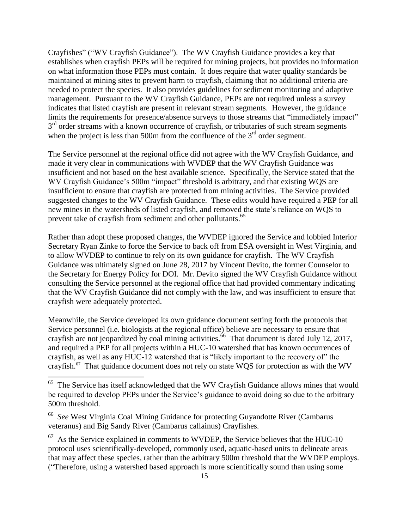Crayfishes" ("WV Crayfish Guidance"). The WV Crayfish Guidance provides a key that establishes when crayfish PEPs will be required for mining projects, but provides no information on what information those PEPs must contain. It does require that water quality standards be maintained at mining sites to prevent harm to crayfish, claiming that no additional criteria are needed to protect the species. It also provides guidelines for sediment monitoring and adaptive management. Pursuant to the WV Crayfish Guidance, PEPs are not required unless a survey indicates that listed crayfish are present in relevant stream segments. However, the guidance limits the requirements for presence/absence surveys to those streams that "immediately impact" 3<sup>rd</sup> order streams with a known occurrence of crayfish, or tributaries of such stream segments when the project is less than 500m from the confluence of the  $3<sup>rd</sup>$  order segment.

The Service personnel at the regional office did not agree with the WV Crayfish Guidance, and made it very clear in communications with WVDEP that the WV Crayfish Guidance was insufficient and not based on the best available science. Specifically, the Service stated that the WV Crayfish Guidance's 500m "impact" threshold is arbitrary, and that existing WQS are insufficient to ensure that crayfish are protected from mining activities. The Service provided suggested changes to the WV Crayfish Guidance. These edits would have required a PEP for all new mines in the watersheds of listed crayfish, and removed the state's reliance on WQS to prevent take of crayfish from sediment and other pollutants.<sup>65</sup>

Rather than adopt these proposed changes, the WVDEP ignored the Service and lobbied Interior Secretary Ryan Zinke to force the Service to back off from ESA oversight in West Virginia, and to allow WVDEP to continue to rely on its own guidance for crayfish. The WV Crayfish Guidance was ultimately signed on June 28, 2017 by Vincent Devito, the former Counselor to the Secretary for Energy Policy for DOI. Mr. Devito signed the WV Crayfish Guidance without consulting the Service personnel at the regional office that had provided commentary indicating that the WV Crayfish Guidance did not comply with the law, and was insufficient to ensure that crayfish were adequately protected.

Meanwhile, the Service developed its own guidance document setting forth the protocols that Service personnel (i.e. biologists at the regional office) believe are necessary to ensure that crayfish are not jeopardized by coal mining activities.<sup>66</sup> That document is dated July 12, 2017, and required a PEP for all projects within a HUC-10 watershed that has known occurrences of crayfish, as well as any HUC-12 watershed that is "likely important to the recovery of" the crayfish. $^{67}$  That guidance document does not rely on state WQS for protection as with the WV

<sup>&</sup>lt;sup>65</sup> The Service has itself acknowledged that the WV Crayfish Guidance allows mines that would be required to develop PEPs under the Service's guidance to avoid doing so due to the arbitrary 500m threshold.

<sup>66</sup> *See* West Virginia Coal Mining Guidance for protecting Guyandotte River (Cambarus veteranus) and Big Sandy River (Cambarus callainus) Crayfishes.

 $67$  As the Service explained in comments to WVDEP, the Service believes that the HUC-10 protocol uses scientifically-developed, commonly used, aquatic-based units to delineate areas that may affect these species, rather than the arbitrary 500m threshold that the WVDEP employs. ("Therefore, using a watershed based approach is more scientifically sound than using some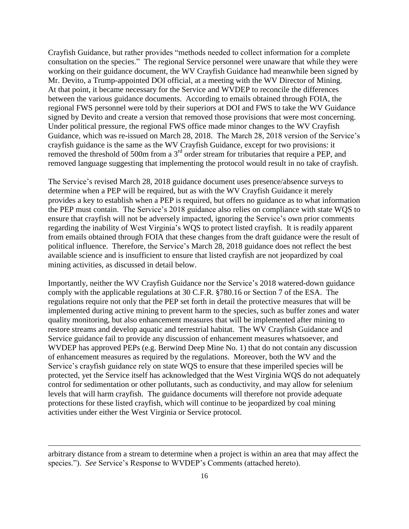Crayfish Guidance, but rather provides "methods needed to collect information for a complete consultation on the species." The regional Service personnel were unaware that while they were working on their guidance document, the WV Crayfish Guidance had meanwhile been signed by Mr. Devito, a Trump-appointed DOI official, at a meeting with the WV Director of Mining. At that point, it became necessary for the Service and WVDEP to reconcile the differences between the various guidance documents. According to emails obtained through FOIA, the regional FWS personnel were told by their superiors at DOI and FWS to take the WV Guidance signed by Devito and create a version that removed those provisions that were most concerning. Under political pressure, the regional FWS office made minor changes to the WV Crayfish Guidance, which was re-issued on March 28, 2018. The March 28, 2018 version of the Service's crayfish guidance is the same as the WV Crayfish Guidance, except for two provisions: it removed the threshold of 500m from a 3<sup>rd</sup> order stream for tributaries that require a PEP, and removed language suggesting that implementing the protocol would result in no take of crayfish.

The Service's revised March 28, 2018 guidance document uses presence/absence surveys to determine when a PEP will be required, but as with the WV Crayfish Guidance it merely provides a key to establish when a PEP is required, but offers no guidance as to what information the PEP must contain. The Service's 2018 guidance also relies on compliance with state WQS to ensure that crayfish will not be adversely impacted, ignoring the Service's own prior comments regarding the inability of West Virginia's WQS to protect listed crayfish. It is readily apparent from emails obtained through FOIA that these changes from the draft guidance were the result of political influence. Therefore, the Service's March 28, 2018 guidance does not reflect the best available science and is insufficient to ensure that listed crayfish are not jeopardized by coal mining activities, as discussed in detail below.

Importantly, neither the WV Crayfish Guidance nor the Service's 2018 watered-down guidance comply with the applicable regulations at 30 C.F.R. §780.16 or Section 7 of the ESA. The regulations require not only that the PEP set forth in detail the protective measures that will be implemented during active mining to prevent harm to the species, such as buffer zones and water quality monitoring, but also enhancement measures that will be implemented after mining to restore streams and develop aquatic and terrestrial habitat. The WV Crayfish Guidance and Service guidance fail to provide any discussion of enhancement measures whatsoever, and WVDEP has approved PEPs (e.g. Berwind Deep Mine No. 1) that do not contain any discussion of enhancement measures as required by the regulations. Moreover, both the WV and the Service's crayfish guidance rely on state WQS to ensure that these imperiled species will be protected, yet the Service itself has acknowledged that the West Virginia WQS do not adequately control for sedimentation or other pollutants, such as conductivity, and may allow for selenium levels that will harm crayfish. The guidance documents will therefore not provide adequate protections for these listed crayfish, which will continue to be jeopardized by coal mining activities under either the West Virginia or Service protocol.

 $\overline{\phantom{a}}$ 

arbitrary distance from a stream to determine when a project is within an area that may affect the species."). *See* Service's Response to WVDEP's Comments (attached hereto).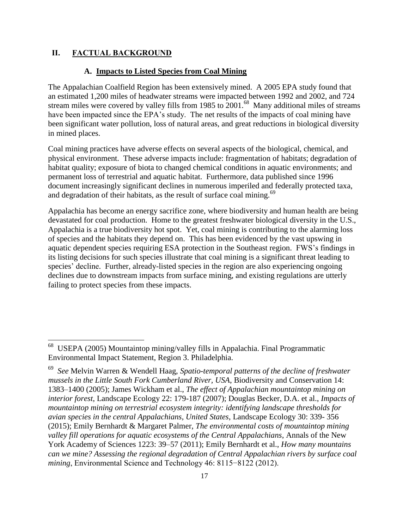#### **II. FACTUAL BACKGROUND**

 $\overline{\phantom{a}}$ 

#### **A. Impacts to Listed Species from Coal Mining**

The Appalachian Coalfield Region has been extensively mined. A 2005 EPA study found that an estimated 1,200 miles of headwater streams were impacted between 1992 and 2002, and 724 stream miles were covered by valley fills from 1985 to  $2001<sup>68</sup>$  Many additional miles of streams have been impacted since the EPA's study. The net results of the impacts of coal mining have been significant water pollution, loss of natural areas, and great reductions in biological diversity in mined places.

Coal mining practices have adverse effects on several aspects of the biological, chemical, and physical environment. These adverse impacts include: fragmentation of habitats; degradation of habitat quality; exposure of biota to changed chemical conditions in aquatic environments; and permanent loss of terrestrial and aquatic habitat. Furthermore, data published since 1996 document increasingly significant declines in numerous imperiled and federally protected taxa, and degradation of their habitats, as the result of surface coal mining.<sup>69</sup>

Appalachia has become an energy sacrifice zone, where biodiversity and human health are being devastated for coal production. Home to the greatest freshwater biological diversity in the U.S., Appalachia is a true biodiversity hot spot. Yet, coal mining is contributing to the alarming loss of species and the habitats they depend on. This has been evidenced by the vast upswing in aquatic dependent species requiring ESA protection in the Southeast region. FWS's findings in its listing decisions for such species illustrate that coal mining is a significant threat leading to species' decline. Further, already-listed species in the region are also experiencing ongoing declines due to downstream impacts from surface mining, and existing regulations are utterly failing to protect species from these impacts.

<sup>68</sup> USEPA (2005) Mountaintop mining/valley fills in Appalachia. Final Programmatic Environmental Impact Statement, Region 3. Philadelphia.

<sup>69</sup> *See* Melvin Warren & Wendell Haag, *Spatio-temporal patterns of the decline of freshwater mussels in the Little South Fork Cumberland River, USA*, Biodiversity and Conservation 14: 1383–1400 (2005); James Wickham et al., *The effect of Appalachian mountaintop mining on interior forest*, Landscape Ecology 22: 179-187 (2007); Douglas Becker, D.A. et al., *Impacts of mountaintop mining on terrestrial ecosystem integrity: identifying landscape thresholds for avian species in the central Appalachians, United States*, Landscape Ecology 30: 339- 356 (2015); Emily Bernhardt & Margaret Palmer, *The environmental costs of mountaintop mining valley fill operations for aquatic ecosystems of the Central Appalachians*, Annals of the New York Academy of Sciences 1223: 39–57 (2011); Emily Bernhardt et al., *How many mountains can we mine? Assessing the regional degradation of Central Appalachian rivers by surface coal mining*, Environmental Science and Technology 46: 8115−8122 (2012).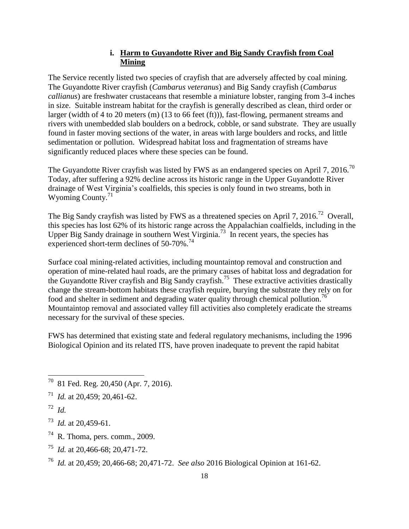## **i. Harm to Guyandotte River and Big Sandy Crayfish from Coal Mining**

The Service recently listed two species of crayfish that are adversely affected by coal mining. The Guyandotte River crayfish (*Cambarus veteranus*) and Big Sandy crayfish (*Cambarus callianus*) are freshwater crustaceans that resemble a miniature lobster, ranging from 3-4 inches in size. Suitable instream habitat for the crayfish is generally described as clean, third order or larger (width of 4 to 20 meters (m) (13 to 66 feet (ft))), fast-flowing, permanent streams and rivers with unembedded slab boulders on a bedrock, cobble, or sand substrate. They are usually found in faster moving sections of the water, in areas with large boulders and rocks, and little sedimentation or pollution. Widespread habitat loss and fragmentation of streams have significantly reduced places where these species can be found.

The Guyandotte River crayfish was listed by FWS as an endangered species on April 7, 2016.<sup>70</sup> Today, after suffering a 92% decline across its historic range in the Upper Guyandotte River drainage of West Virginia's coalfields, this species is only found in two streams, both in Wyoming County. $71$ 

The Big Sandy crayfish was listed by FWS as a threatened species on April 7, 2016.<sup>72</sup> Overall, this species has lost 62% of its historic range across the Appalachian coalfields, including in the Upper Big Sandy drainage in southern West Virginia.<sup>73</sup> In recent years, the species has experienced short-term declines of  $50-70\%$ .<sup>74</sup>

Surface coal mining-related activities, including mountaintop removal and construction and operation of mine-related haul roads, are the primary causes of habitat loss and degradation for the Guyandotte River crayfish and Big Sandy crayfish.<sup>75</sup> These extractive activities drastically change the stream-bottom habitats these crayfish require, burying the substrate they rely on for food and shelter in sediment and degrading water quality through chemical pollution.<sup>76</sup> Mountaintop removal and associated valley fill activities also completely eradicate the streams necessary for the survival of these species.

FWS has determined that existing state and federal regulatory mechanisms, including the 1996 Biological Opinion and its related ITS, have proven inadequate to prevent the rapid habitat

73 *Id.* at 20,459-61.

- $74$  R. Thoma, pers. comm., 2009.
- 75 *Id.* at 20,466-68; 20,471-72.
- <sup>76</sup> *Id.* at 20,459; 20,466-68; 20,471-72. *See also* 2016 Biological Opinion at 161-62.

 70 81 Fed. Reg. 20,450 (Apr. 7, 2016).

<sup>71</sup> *Id.* at 20,459; 20,461-62.

<sup>72</sup> *Id.*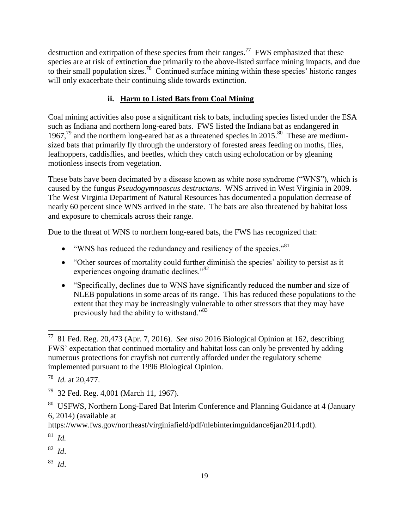destruction and extirpation of these species from their ranges.<sup>77</sup> FWS emphasized that these species are at risk of extinction due primarily to the above-listed surface mining impacts, and due to their small population sizes.<sup>78</sup> Continued surface mining within these species' historic ranges will only exacerbate their continuing slide towards extinction.

# **ii. Harm to Listed Bats from Coal Mining**

Coal mining activities also pose a significant risk to bats, including species listed under the ESA such as Indiana and northern long-eared bats. FWS listed the Indiana bat as endangered in 1967,<sup>79</sup> and the northern long-eared bat as a threatened species in 2015.<sup>80</sup> These are mediumsized bats that primarily fly through the understory of forested areas feeding on moths, flies, leafhoppers, caddisflies, and beetles, which they catch using echolocation or by gleaning motionless insects from vegetation.

These bats have been decimated by a disease known as white nose syndrome ("WNS"), which is caused by the fungus *Pseudogymnoascus destructans*. WNS arrived in West Virginia in 2009. The West Virginia Department of Natural Resources has documented a population decrease of nearly 60 percent since WNS arrived in the state. The bats are also threatened by habitat loss and exposure to chemicals across their range.

Due to the threat of WNS to northern long-eared bats, the FWS has recognized that:

- $\bullet$  "WNS has reduced the redundancy and resiliency of the species."<sup>81</sup>
- "Other sources of mortality could further diminish the species' ability to persist as it experiences ongoing dramatic declines."<sup>82</sup>
- "Specifically, declines due to WNS have significantly reduced the number and size of NLEB populations in some areas of its range. This has reduced these populations to the extent that they may be increasingly vulnerable to other stressors that they may have previously had the ability to withstand."<sup>83</sup>

81 *Id.* 

82 *Id*.

83 *Id*.

 77 81 Fed. Reg. 20,473 (Apr. 7, 2016). *See also* 2016 Biological Opinion at 162, describing FWS' expectation that continued mortality and habitat loss can only be prevented by adding numerous protections for crayfish not currently afforded under the regulatory scheme implemented pursuant to the 1996 Biological Opinion.

<sup>78</sup> *Id.* at 20,477.

<sup>79</sup> 32 Fed. Reg. 4,001 (March 11, 1967).

<sup>&</sup>lt;sup>80</sup> USFWS, Northern Long-Eared Bat Interim Conference and Planning Guidance at 4 (January 6, 2014) (available at

https://www.fws.gov/northeast/virginiafield/pdf/nlebinterimguidance6jan2014.pdf).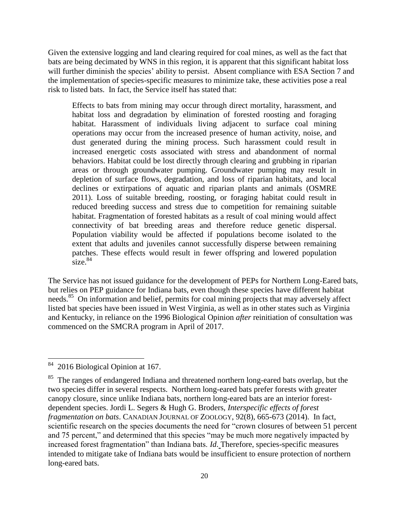Given the extensive logging and land clearing required for coal mines, as well as the fact that bats are being decimated by WNS in this region, it is apparent that this significant habitat loss will further diminish the species' ability to persist. Absent compliance with ESA Section 7 and the implementation of species-specific measures to minimize take, these activities pose a real risk to listed bats. In fact, the Service itself has stated that:

Effects to bats from mining may occur through direct mortality, harassment, and habitat loss and degradation by elimination of forested roosting and foraging habitat. Harassment of individuals living adjacent to surface coal mining operations may occur from the increased presence of human activity, noise, and dust generated during the mining process. Such harassment could result in increased energetic costs associated with stress and abandonment of normal behaviors. Habitat could be lost directly through clearing and grubbing in riparian areas or through groundwater pumping. Groundwater pumping may result in depletion of surface flows, degradation, and loss of riparian habitats, and local declines or extirpations of aquatic and riparian plants and animals (OSMRE 2011). Loss of suitable breeding, roosting, or foraging habitat could result in reduced breeding success and stress due to competition for remaining suitable habitat. Fragmentation of forested habitats as a result of coal mining would affect connectivity of bat breeding areas and therefore reduce genetic dispersal. Population viability would be affected if populations become isolated to the extent that adults and juveniles cannot successfully disperse between remaining patches. These effects would result in fewer offspring and lowered population  $\frac{1}{\text{size}}$ .  $84$ 

The Service has not issued guidance for the development of PEPs for Northern Long-Eared bats, but relies on PEP guidance for Indiana bats, even though these species have different habitat needs.<sup>85</sup> On information and belief, permits for coal mining projects that may adversely affect listed bat species have been issued in West Virginia, as well as in other states such as Virginia and Kentucky, in reliance on the 1996 Biological Opinion *after* reinitiation of consultation was commenced on the SMCRA program in April of 2017.

l

<sup>84</sup> 2016 Biological Opinion at 167.

<sup>&</sup>lt;sup>85</sup> The ranges of endangered Indiana and threatened northern long-eared bats overlap, but the two species differ in several respects. Northern long-eared bats prefer forests with greater canopy closure, since unlike Indiana bats, northern long-eared bats are an interior forestdependent species. Jordi L. Segers & Hugh G. Broders, *Interspecific effects of forest fragmentation on bats*. CANADIAN JOURNAL OF ZOOLOGY, 92(8), 665-673 (2014). In fact, scientific research on the species documents the need for "crown closures of between 51 percent and 75 percent," and determined that this species "may be much more negatively impacted by increased forest fragmentation" than Indiana bats. *Id*. Therefore, species-specific measures intended to mitigate take of Indiana bats would be insufficient to ensure protection of northern long-eared bats.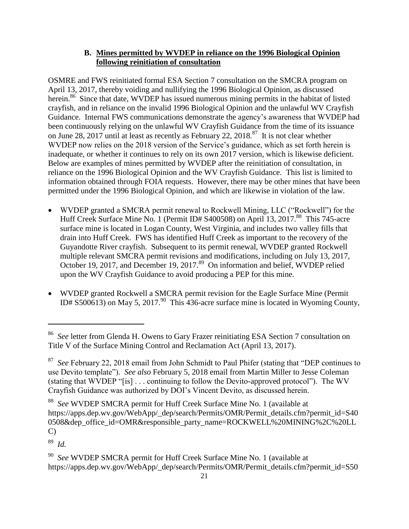## **B. Mines permitted by WVDEP in reliance on the 1996 Biological Opinion following reinitiation of consultation**

OSMRE and FWS reinitiated formal ESA Section 7 consultation on the SMCRA program on April 13, 2017, thereby voiding and nullifying the 1996 Biological Opinion, as discussed herein.<sup>86</sup> Since that date, WVDEP has issued numerous mining permits in the habitat of listed crayfish, and in reliance on the invalid 1996 Biological Opinion and the unlawful WV Crayfish Guidance. Internal FWS communications demonstrate the agency's awareness that WVDEP had been continuously relying on the unlawful WV Crayfish Guidance from the time of its issuance on June 28, 2017 until at least as recently as February 22, 2018.<sup>87</sup> It is not clear whether WVDEP now relies on the 2018 version of the Service's guidance, which as set forth herein is inadequate, or whether it continues to rely on its own 2017 version, which is likewise deficient. Below are examples of mines permitted by WVDEP after the reinitiation of consultation, in reliance on the 1996 Biological Opinion and the WV Crayfish Guidance. This list is limited to information obtained through FOIA requests. However, there may be other mines that have been permitted under the 1996 Biological Opinion, and which are likewise in violation of the law.

- WVDEP granted a SMCRA permit renewal to Rockwell Mining, LLC ("Rockwell") for the Huff Creek Surface Mine No. 1 (Permit ID# S400508) on April 13, 2017.<sup>88</sup> This 745-acre surface mine is located in Logan County, West Virginia, and includes two valley fills that drain into Huff Creek. FWS has identified Huff Creek as important to the recovery of the Guyandotte River crayfish. Subsequent to its permit renewal, WVDEP granted Rockwell multiple relevant SMCRA permit revisions and modifications, including on July 13, 2017, October 19, 2017, and December 19, 2017.<sup>89</sup> On information and belief, WVDEP relied upon the WV Crayfish Guidance to avoid producing a PEP for this mine.
- WVDEP granted Rockwell a SMCRA permit revision for the Eagle Surface Mine (Permit ID# S500613) on May 5, 2017.<sup>90</sup> This 436-acre surface mine is located in Wyoming County,

89 *Id.* 

 $\overline{\phantom{a}}$ 

<sup>86</sup> *See* letter from Glenda H. Owens to Gary Frazer reinitiating ESA Section 7 consultation on Title V of the Surface Mining Control and Reclamation Act (April 13, 2017).

<sup>87</sup> *See* February 22, 2018 email from John Schmidt to Paul Phifer (stating that "DEP continues to use Devito template"). *See also* February 5, 2018 email from Martin Miller to Jesse Coleman (stating that WVDEP "[is] . . . continuing to follow the Devito-approved protocol"). The WV Crayfish Guidance was authorized by DOI's Vincent Devito, as discussed herein.

<sup>88</sup> *See* WVDEP SMCRA permit for Huff Creek Surface Mine No. 1 (available at https://apps.dep.wv.gov/WebApp/\_dep/search/Permits/OMR/Permit\_details.cfm?permit\_id=S40 0508&dep\_office\_id=OMR&responsible\_party\_name=ROCKWELL%20MINING%2C%20LL C)

<sup>90</sup> *See* WVDEP SMCRA permit for Huff Creek Surface Mine No. 1 (available at https://apps.dep.wv.gov/WebApp/\_dep/search/Permits/OMR/Permit\_details.cfm?permit\_id=S50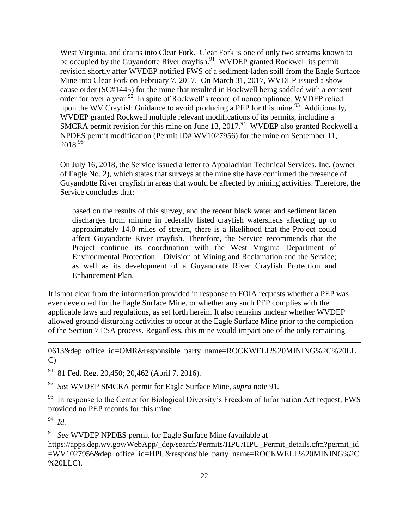West Virginia, and drains into Clear Fork. Clear Fork is one of only two streams known to be occupied by the Guyandotte River crayfish.<sup>91</sup> WVDEP granted Rockwell its permit revision shortly after WVDEP notified FWS of a sediment-laden spill from the Eagle Surface Mine into Clear Fork on February 7, 2017. On March 31, 2017, WVDEP issued a show cause order (SC#1445) for the mine that resulted in Rockwell being saddled with a consent order for over a year.<sup>92</sup> In spite of Rockwell's record of noncompliance, WVDEP relied upon the WV Crayfish Guidance to avoid producing a PEP for this mine.<sup>93</sup> Additionally, WVDEP granted Rockwell multiple relevant modifications of its permits, including a SMCRA permit revision for this mine on June 13, 2017.<sup>94</sup> WVDEP also granted Rockwell a NPDES permit modification (Permit ID# WV1027956) for the mine on September 11,  $2018.^{95}$ 

On July 16, 2018, the Service issued a letter to Appalachian Technical Services, Inc. (owner of Eagle No. 2), which states that surveys at the mine site have confirmed the presence of Guyandotte River crayfish in areas that would be affected by mining activities. Therefore, the Service concludes that:

based on the results of this survey, and the recent black water and sediment laden discharges from mining in federally listed crayfish watersheds affecting up to approximately 14.0 miles of stream, there is a likelihood that the Project could affect Guyandotte River crayfish. Therefore, the Service recommends that the Project continue its coordination with the West Virginia Department of Environmental Protection – Division of Mining and Reclamation and the Service; as well as its development of a Guyandotte River Crayfish Protection and Enhancement Plan.

It is not clear from the information provided in response to FOIA requests whether a PEP was ever developed for the Eagle Surface Mine, or whether any such PEP complies with the applicable laws and regulations, as set forth herein. It also remains unclear whether WVDEP allowed ground-disturbing activities to occur at the Eagle Surface Mine prior to the completion of the Section 7 ESA process. Regardless, this mine would impact one of the only remaining

0613&dep\_office\_id=OMR&responsible\_party\_name=ROCKWELL%20MINING%2C%20LL C)

 $91$  81 Fed. Reg. 20,450; 20,462 (April 7, 2016).

92 *See* WVDEP SMCRA permit for Eagle Surface Mine, *supra* note 91*.*

 $93$  In response to the Center for Biological Diversity's Freedom of Information Act request, FWS provided no PEP records for this mine.

94 *Id.*

l

95 *See* WVDEP NPDES permit for Eagle Surface Mine (available at

https://apps.dep.wv.gov/WebApp/\_dep/search/Permits/HPU/HPU\_Permit\_details.cfm?permit\_id =WV1027956&dep\_office\_id=HPU&responsible\_party\_name=ROCKWELL%20MINING%2C %20LLC).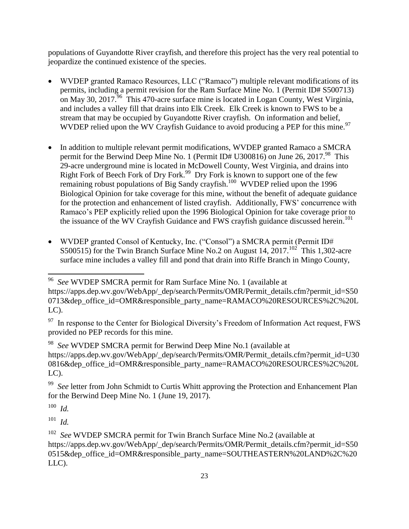populations of Guyandotte River crayfish, and therefore this project has the very real potential to jeopardize the continued existence of the species.

- WVDEP granted Ramaco Resources, LLC ("Ramaco") multiple relevant modifications of its permits, including a permit revision for the Ram Surface Mine No. 1 (Permit ID# S500713) on May 30, 2017.<sup>96</sup> This 470-acre surface mine is located in Logan County, West Virginia, and includes a valley fill that drains into Elk Creek. Elk Creek is known to FWS to be a stream that may be occupied by Guyandotte River crayfish. On information and belief, WVDEP relied upon the WV Crayfish Guidance to avoid producing a PEP for this mine.<sup>97</sup>
- In addition to multiple relevant permit modifications, WVDEP granted Ramaco a SMCRA permit for the Berwind Deep Mine No. 1 (Permit ID# U300816) on June 26, 2017.<sup>98</sup> This 29-acre underground mine is located in McDowell County, West Virginia, and drains into Right Fork of Beech Fork of Dry Fork.<sup>99</sup> Dry Fork is known to support one of the few remaining robust populations of Big Sandy crayfish.<sup>100</sup> WVDEP relied upon the 1996 Biological Opinion for take coverage for this mine, without the benefit of adequate guidance for the protection and enhancement of listed crayfish. Additionally, FWS' concurrence with Ramaco's PEP explicitly relied upon the 1996 Biological Opinion for take coverage prior to the issuance of the WV Crayfish Guidance and FWS crayfish guidance discussed herein. 101
- WVDEP granted Consol of Kentucky, Inc. ("Consol") a SMCRA permit (Permit ID# S500515) for the Twin Branch Surface Mine No.2 on August 14,  $2017$ .<sup>102</sup> This 1,302-acre surface mine includes a valley fill and pond that drain into Riffe Branch in Mingo County,

 96 *See* WVDEP SMCRA permit for Ram Surface Mine No. 1 (available at https://apps.dep.wv.gov/WebApp/\_dep/search/Permits/OMR/Permit\_details.cfm?permit\_id=S50 0713&dep\_office\_id=OMR&responsible\_party\_name=RAMACO%20RESOURCES%2C%20L LC).

 $97$  In response to the Center for Biological Diversity's Freedom of Information Act request, FWS provided no PEP records for this mine.

<sup>98</sup> *See* WVDEP SMCRA permit for Berwind Deep Mine No.1 (available at https://apps.dep.wv.gov/WebApp/\_dep/search/Permits/OMR/Permit\_details.cfm?permit\_id=U30 0816&dep\_office\_id=OMR&responsible\_party\_name=RAMACO%20RESOURCES%2C%20L  $LC$ ).

<sup>&</sup>lt;sup>99</sup> See letter from John Schmidt to Curtis Whitt approving the Protection and Enhancement Plan for the Berwind Deep Mine No. 1 (June 19, 2017).

<sup>100</sup> *Id.*

<sup>101</sup> *Id.*

<sup>&</sup>lt;sup>102</sup> See WVDEP SMCRA permit for Twin Branch Surface Mine No.2 (available at https://apps.dep.wv.gov/WebApp/\_dep/search/Permits/OMR/Permit\_details.cfm?permit\_id=S50 0515&dep\_office\_id=OMR&responsible\_party\_name=SOUTHEASTERN%20LAND%2C%20 LLC).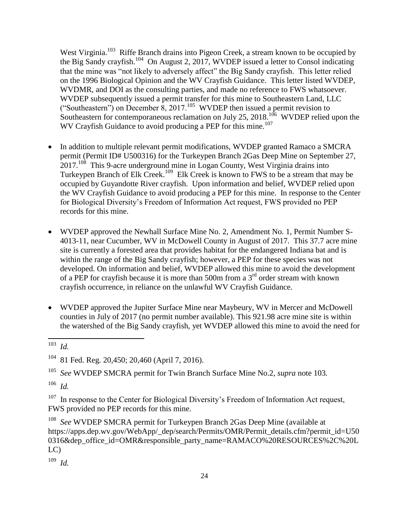West Virginia.<sup>103</sup> Riffe Branch drains into Pigeon Creek, a stream known to be occupied by the Big Sandy crayfish.<sup>104</sup> On August 2, 2017, WVDEP issued a letter to Consol indicating that the mine was "not likely to adversely affect" the Big Sandy crayfish. This letter relied on the 1996 Biological Opinion and the WV Crayfish Guidance. This letter listed WVDEP, WVDMR, and DOI as the consulting parties, and made no reference to FWS whatsoever. WVDEP subsequently issued a permit transfer for this mine to Southeastern Land, LLC ("Southeastern") on December  $\overline{8}$ , 2017.<sup>105</sup> WVDEP then issued a permit revision to Southeastern for contemporaneous reclamation on July 25, 2018.<sup>106</sup> WVDEP relied upon the WV Crayfish Guidance to avoid producing a PEP for this mine.<sup>107</sup>

- In addition to multiple relevant permit modifications, WVDEP granted Ramaco a SMCRA permit (Permit ID# U500316) for the Turkeypen Branch 2Gas Deep Mine on September 27,  $2017<sup>108</sup>$  This 9-acre underground mine in Logan County, West Virginia drains into Turkeypen Branch of Elk Creek.<sup>109</sup> Elk Creek is known to FWS to be a stream that may be occupied by Guyandotte River crayfish. Upon information and belief, WVDEP relied upon the WV Crayfish Guidance to avoid producing a PEP for this mine. In response to the Center for Biological Diversity's Freedom of Information Act request, FWS provided no PEP records for this mine.
- WVDEP approved the Newhall Surface Mine No. 2, Amendment No. 1, Permit Number S-4013-11, near Cucumber, WV in McDowell County in August of 2017. This 37.7 acre mine site is currently a forested area that provides habitat for the endangered Indiana bat and is within the range of the Big Sandy crayfish; however, a PEP for these species was not developed. On information and belief, WVDEP allowed this mine to avoid the development of a PEP for crayfish because it is more than 500m from a  $3<sup>rd</sup>$  order stream with known crayfish occurrence, in reliance on the unlawful WV Crayfish Guidance.
- WVDEP approved the Jupiter Surface Mine near Maybeury, WV in Mercer and McDowell counties in July of 2017 (no permit number available). This 921.98 acre mine site is within the watershed of the Big Sandy crayfish, yet WVDEP allowed this mine to avoid the need for

106 *Id.*

107 In response to the Center for Biological Diversity's Freedom of Information Act request, FWS provided no PEP records for this mine.

108 *See* WVDEP SMCRA permit for Turkeypen Branch 2Gas Deep Mine (available at https://apps.dep.wv.gov/WebApp/\_dep/search/Permits/OMR/Permit\_details.cfm?permit\_id=U50 0316&dep\_office\_id=OMR&responsible\_party\_name=RAMACO%20RESOURCES%2C%20L LC)

109 *Id.* 

<sup>&</sup>lt;sup>103</sup> *Id.*

<sup>104</sup> 81 Fed. Reg. 20,450; 20,460 (April 7, 2016).

<sup>105</sup> *See* WVDEP SMCRA permit for Twin Branch Surface Mine No.2, *supra* note 103*.*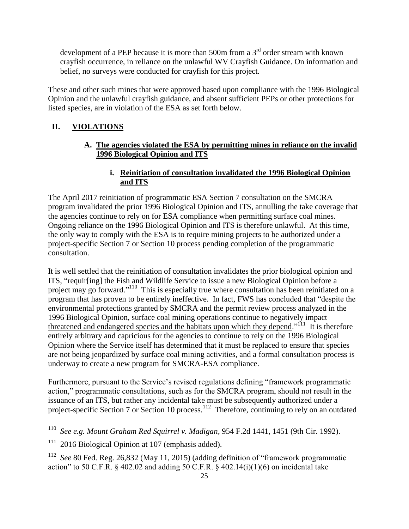development of a PEP because it is more than 500m from a  $3<sup>rd</sup>$  order stream with known crayfish occurrence, in reliance on the unlawful WV Crayfish Guidance. On information and belief, no surveys were conducted for crayfish for this project.

These and other such mines that were approved based upon compliance with the 1996 Biological Opinion and the unlawful crayfish guidance, and absent sufficient PEPs or other protections for listed species, are in violation of the ESA as set forth below.

# **II. VIOLATIONS**

## **A. The agencies violated the ESA by permitting mines in reliance on the invalid 1996 Biological Opinion and ITS**

# **i. Reinitiation of consultation invalidated the 1996 Biological Opinion and ITS**

The April 2017 reinitiation of programmatic ESA Section 7 consultation on the SMCRA program invalidated the prior 1996 Biological Opinion and ITS, annulling the take coverage that the agencies continue to rely on for ESA compliance when permitting surface coal mines. Ongoing reliance on the 1996 Biological Opinion and ITS is therefore unlawful. At this time, the only way to comply with the ESA is to require mining projects to be authorized under a project-specific Section 7 or Section 10 process pending completion of the programmatic consultation.

It is well settled that the reinitiation of consultation invalidates the prior biological opinion and ITS, "requir[ing] the Fish and Wildlife Service to issue a new Biological Opinion before a project may go forward."<sup>110</sup> This is especially true where consultation has been reinitiated on a program that has proven to be entirely ineffective. In fact, FWS has concluded that "despite the environmental protections granted by SMCRA and the permit review process analyzed in the 1996 Biological Opinion, surface coal mining operations continue to negatively impact threatened and endangered species and the habitats upon which they depend."<sup>111</sup> It is therefore entirely arbitrary and capricious for the agencies to continue to rely on the 1996 Biological Opinion where the Service itself has determined that it must be replaced to ensure that species are not being jeopardized by surface coal mining activities, and a formal consultation process is underway to create a new program for SMCRA-ESA compliance.

Furthermore, pursuant to the Service's revised regulations defining "framework programmatic action," programmatic consultations, such as for the SMCRA program, should not result in the issuance of an ITS, but rather any incidental take must be subsequently authorized under a project-specific Section 7 or Section 10 process.<sup>112</sup> Therefore, continuing to rely on an outdated

<sup>&</sup>lt;sup>110</sup> *See e.g. Mount Graham Red Squirrel v. Madigan*, 954 F.2d 1441, 1451 (9th Cir. 1992).

<sup>111</sup> 2016 Biological Opinion at 107 (emphasis added).

<sup>&</sup>lt;sup>112</sup> See 80 Fed. Reg. 26,832 (May 11, 2015) (adding definition of "framework programmatic action" to 50 C.F.R.  $\&$  402.02 and adding 50 C.F.R.  $\&$  402.14(i)(1)(6) on incidental take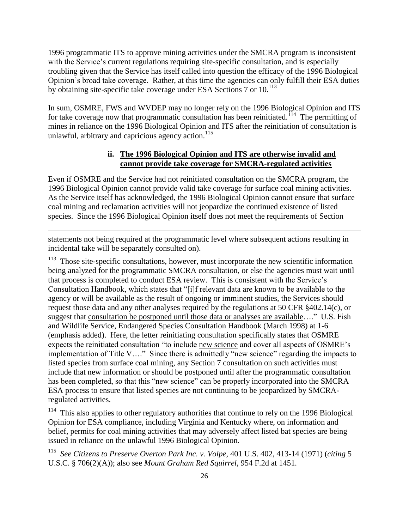1996 programmatic ITS to approve mining activities under the SMCRA program is inconsistent with the Service's current regulations requiring site-specific consultation, and is especially troubling given that the Service has itself called into question the efficacy of the 1996 Biological Opinion's broad take coverage. Rather, at this time the agencies can only fulfill their ESA duties by obtaining site-specific take coverage under ESA Sections 7 or 10.<sup>113</sup>

In sum, OSMRE, FWS and WVDEP may no longer rely on the 1996 Biological Opinion and ITS for take coverage now that programmatic consultation has been reinitiated.<sup> $114$ </sup> The permitting of mines in reliance on the 1996 Biological Opinion and ITS after the reinitiation of consultation is unlawful, arbitrary and capricious agency  $\arctan$ <sup>115</sup>

#### **ii. The 1996 Biological Opinion and ITS are otherwise invalid and cannot provide take coverage for SMCRA-regulated activities**

Even if OSMRE and the Service had not reinitiated consultation on the SMCRA program, the 1996 Biological Opinion cannot provide valid take coverage for surface coal mining activities. As the Service itself has acknowledged, the 1996 Biological Opinion cannot ensure that surface coal mining and reclamation activities will not jeopardize the continued existence of listed species. Since the 1996 Biological Opinion itself does not meet the requirements of Section

statements not being required at the programmatic level where subsequent actions resulting in incidental take will be separately consulted on).

 $\overline{\phantom{a}}$ 

<sup>113</sup> Those site-specific consultations, however, must incorporate the new scientific information being analyzed for the programmatic SMCRA consultation, or else the agencies must wait until that process is completed to conduct ESA review. This is consistent with the Service's Consultation Handbook, which states that "[i]f relevant data are known to be available to the agency or will be available as the result of ongoing or imminent studies, the Services should request those data and any other analyses required by the regulations at 50 CFR §402.14(c), or suggest that consultation be postponed until those data or analyses are available…." U.S. Fish and Wildlife Service, Endangered Species Consultation Handbook (March 1998) at 1-6 (emphasis added). Here, the letter reinitiating consultation specifically states that OSMRE expects the reinitiated consultation "to include new science and cover all aspects of OSMRE's implementation of Title V…." Since there is admittedly "new science" regarding the impacts to listed species from surface coal mining, any Section 7 consultation on such activities must include that new information or should be postponed until after the programmatic consultation has been completed, so that this "new science" can be properly incorporated into the SMCRA ESA process to ensure that listed species are not continuing to be jeopardized by SMCRAregulated activities.

114 This also applies to other regulatory authorities that continue to rely on the 1996 Biological Opinion for ESA compliance, including Virginia and Kentucky where, on information and belief, permits for coal mining activities that may adversely affect listed bat species are being issued in reliance on the unlawful 1996 Biological Opinion.

115 *See Citizens to Preserve Overton Park Inc. v. Volpe*, 401 U.S. 402, 413-14 (1971) (*citing* 5 U.S.C. § 706(2)(A)); also see *Mount Graham Red Squirrel,* 954 F.2d at 1451*.*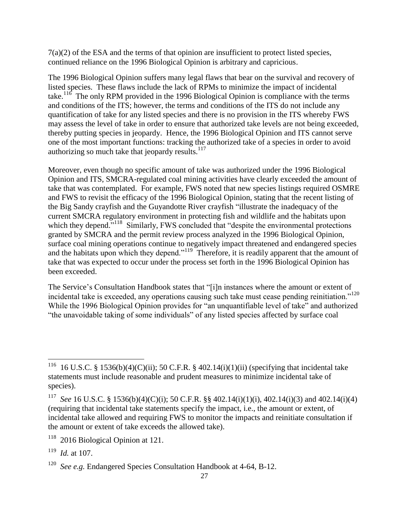7(a)(2) of the ESA and the terms of that opinion are insufficient to protect listed species, continued reliance on the 1996 Biological Opinion is arbitrary and capricious.

The 1996 Biological Opinion suffers many legal flaws that bear on the survival and recovery of listed species. These flaws include the lack of RPMs to minimize the impact of incidental take.<sup>116</sup> The only RPM provided in the 1996 Biological Opinion is compliance with the terms and conditions of the ITS; however, the terms and conditions of the ITS do not include any quantification of take for any listed species and there is no provision in the ITS whereby FWS may assess the level of take in order to ensure that authorized take levels are not being exceeded, thereby putting species in jeopardy. Hence, the 1996 Biological Opinion and ITS cannot serve one of the most important functions: tracking the authorized take of a species in order to avoid authorizing so much take that jeopardy results. $117$ 

Moreover, even though no specific amount of take was authorized under the 1996 Biological Opinion and ITS, SMCRA-regulated coal mining activities have clearly exceeded the amount of take that was contemplated. For example, FWS noted that new species listings required OSMRE and FWS to revisit the efficacy of the 1996 Biological Opinion, stating that the recent listing of the Big Sandy crayfish and the Guyandotte River crayfish "illustrate the inadequacy of the current SMCRA regulatory environment in protecting fish and wildlife and the habitats upon which they depend."<sup>118</sup> Similarly, FWS concluded that "despite the environmental protections granted by SMCRA and the permit review process analyzed in the 1996 Biological Opinion, surface coal mining operations continue to negatively impact threatened and endangered species and the habitats upon which they depend."<sup>119</sup> Therefore, it is readily apparent that the amount of take that was expected to occur under the process set forth in the 1996 Biological Opinion has been exceeded.

The Service's Consultation Handbook states that "[i]n instances where the amount or extent of incidental take is exceeded, any operations causing such take must cease pending reinitiation."<sup>120</sup> While the 1996 Biological Opinion provides for "an unquantifiable level of take" and authorized "the unavoidable taking of some individuals" of any listed species affected by surface coal

 $\overline{\phantom{a}}$ 

<sup>116</sup> 16 U.S.C. § 1536(b)(4)(C)(ii); 50 C.F.R. § 402.14(i)(1)(ii) (specifying that incidental take statements must include reasonable and prudent measures to minimize incidental take of species).

<sup>117</sup> *See* 16 U.S.C. § 1536(b)(4)(C)(i); 50 C.F.R. §§ 402.14(i)(1)(i), 402.14(i)(3) and 402.14(i)(4) (requiring that incidental take statements specify the impact, i.e., the amount or extent, of incidental take allowed and requiring FWS to monitor the impacts and reinitiate consultation if the amount or extent of take exceeds the allowed take).

<sup>118</sup> 2016 Biological Opinion at 121.

<sup>119</sup> *Id.* at 107.

<sup>120</sup> *See e.g.* Endangered Species Consultation Handbook at 4-64, B-12.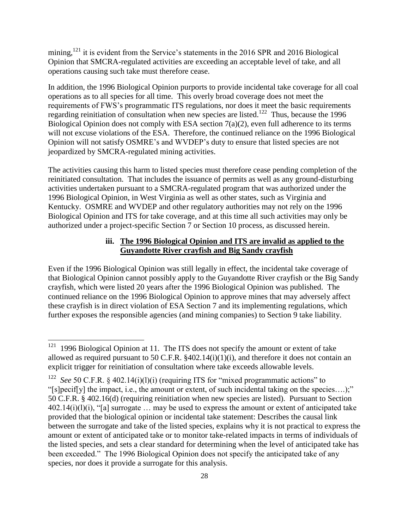mining,<sup>121</sup> it is evident from the Service's statements in the 2016 SPR and 2016 Biological Opinion that SMCRA-regulated activities are exceeding an acceptable level of take, and all operations causing such take must therefore cease.

In addition, the 1996 Biological Opinion purports to provide incidental take coverage for all coal operations as to all species for all time. This overly broad coverage does not meet the requirements of FWS's programmatic ITS regulations, nor does it meet the basic requirements regarding reinitiation of consultation when new species are listed.<sup>122</sup> Thus, because the 1996 Biological Opinion does not comply with ESA section  $7(a)(2)$ , even full adherence to its terms will not excuse violations of the ESA. Therefore, the continued reliance on the 1996 Biological Opinion will not satisfy OSMRE's and WVDEP's duty to ensure that listed species are not jeopardized by SMCRA-regulated mining activities.

The activities causing this harm to listed species must therefore cease pending completion of the reinitiated consultation. That includes the issuance of permits as well as any ground-disturbing activities undertaken pursuant to a SMCRA-regulated program that was authorized under the 1996 Biological Opinion, in West Virginia as well as other states, such as Virginia and Kentucky. OSMRE and WVDEP and other regulatory authorities may not rely on the 1996 Biological Opinion and ITS for take coverage, and at this time all such activities may only be authorized under a project-specific Section 7 or Section 10 process, as discussed herein.

#### **iii. The 1996 Biological Opinion and ITS are invalid as applied to the Guyandotte River crayfish and Big Sandy crayfish**

Even if the 1996 Biological Opinion was still legally in effect, the incidental take coverage of that Biological Opinion cannot possibly apply to the Guyandotte River crayfish or the Big Sandy crayfish, which were listed 20 years after the 1996 Biological Opinion was published. The continued reliance on the 1996 Biological Opinion to approve mines that may adversely affect these crayfish is in direct violation of ESA Section 7 and its implementing regulations, which further exposes the responsible agencies (and mining companies) to Section 9 take liability.

 121 1996 Biological Opinion at 11. The ITS does not specify the amount or extent of take allowed as required pursuant to 50 C.F.R.  $§402.14(i)(1)(i)$ , and therefore it does not contain an explicit trigger for reinitiation of consultation where take exceeds allowable levels.

<sup>&</sup>lt;sup>122</sup> See 50 C.F.R. § 402.14(i)(l)(i) (requiring ITS for "mixed programmatic actions" to "[s]pecif[y] the impact, i.e., the amount or extent, of such incidental taking on the species….);" 50 C.F.R. § 402.16(d) (requiring reinitiation when new species are listed). Pursuant to Section  $402.14(i)(l)(i)$ , "[a] surrogate ... may be used to express the amount or extent of anticipated take provided that the biological opinion or incidental take statement: Describes the causal link between the surrogate and take of the listed species, explains why it is not practical to express the amount or extent of anticipated take or to monitor take-related impacts in terms of individuals of the listed species, and sets a clear standard for determining when the level of anticipated take has been exceeded." The 1996 Biological Opinion does not specify the anticipated take of any species, nor does it provide a surrogate for this analysis.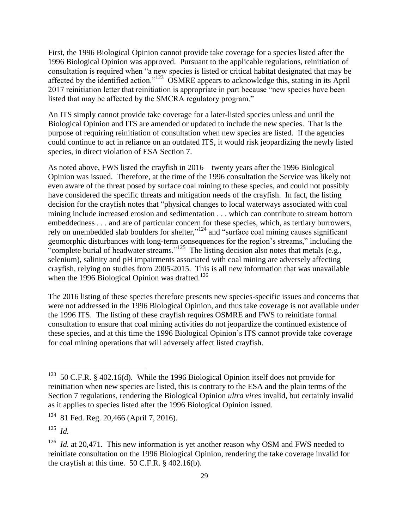First, the 1996 Biological Opinion cannot provide take coverage for a species listed after the 1996 Biological Opinion was approved. Pursuant to the applicable regulations, reinitiation of consultation is required when "a new species is listed or critical habitat designated that may be affected by the identified action."<sup>123</sup> OSMRE appears to acknowledge this, stating in its April 2017 reinitiation letter that reinitiation is appropriate in part because "new species have been listed that may be affected by the SMCRA regulatory program."

An ITS simply cannot provide take coverage for a later-listed species unless and until the Biological Opinion and ITS are amended or updated to include the new species. That is the purpose of requiring reinitiation of consultation when new species are listed. If the agencies could continue to act in reliance on an outdated ITS, it would risk jeopardizing the newly listed species, in direct violation of ESA Section 7.

As noted above, FWS listed the crayfish in 2016—twenty years after the 1996 Biological Opinion was issued. Therefore, at the time of the 1996 consultation the Service was likely not even aware of the threat posed by surface coal mining to these species, and could not possibly have considered the specific threats and mitigation needs of the crayfish. In fact, the listing decision for the crayfish notes that "physical changes to local waterways associated with coal mining include increased erosion and sedimentation . . . which can contribute to stream bottom embeddedness . . . and are of particular concern for these species, which, as tertiary burrowers, rely on unembedded slab boulders for shelter,"<sup>124</sup> and "surface coal mining causes significant geomorphic disturbances with long-term consequences for the region's streams," including the "complete burial of headwater streams."<sup>125</sup> The listing decision also notes that metals (e.g., selenium), salinity and pH impairments associated with coal mining are adversely affecting crayfish, relying on studies from 2005-2015. This is all new information that was unavailable when the 1996 Biological Opinion was drafted.<sup>126</sup>

The 2016 listing of these species therefore presents new species-specific issues and concerns that were not addressed in the 1996 Biological Opinion, and thus take coverage is not available under the 1996 ITS. The listing of these crayfish requires OSMRE and FWS to reinitiate formal consultation to ensure that coal mining activities do not jeopardize the continued existence of these species, and at this time the 1996 Biological Opinion's ITS cannot provide take coverage for coal mining operations that will adversely affect listed crayfish.

<sup>&</sup>lt;sup>123</sup> 50 C.F.R. § 402.16(d). While the 1996 Biological Opinion itself does not provide for reinitiation when new species are listed, this is contrary to the ESA and the plain terms of the Section 7 regulations, rendering the Biological Opinion *ultra vires* invalid, but certainly invalid as it applies to species listed after the 1996 Biological Opinion issued.

<sup>124</sup> 81 Fed. Reg. 20,466 (April 7, 2016).

<sup>125</sup> *Id.*

<sup>&</sup>lt;sup>126</sup> *Id.* at 20,471. This new information is yet another reason why OSM and FWS needed to reinitiate consultation on the 1996 Biological Opinion, rendering the take coverage invalid for the crayfish at this time. 50 C.F.R. § 402.16(b).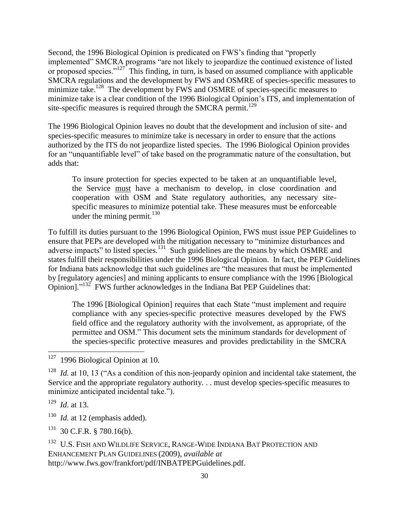Second, the 1996 Biological Opinion is predicated on FWS's finding that "properly implemented" SMCRA programs "are not likely to jeopardize the continued existence of listed or proposed species."<sup>127</sup> This finding, in turn, is based on assumed compliance with applicable SMCRA regulations and the development by FWS and OSMRE of species-specific measures to minimize take.<sup>128</sup> The development by FWS and OSMRE of species-specific measures to minimize take is a clear condition of the 1996 Biological Opinion's ITS, and implementation of site-specific measures is required through the SMCRA permit.<sup>129</sup>

The 1996 Biological Opinion leaves no doubt that the development and inclusion of site- and species-specific measures to minimize take is necessary in order to ensure that the actions authorized by the ITS do not jeopardize listed species. The 1996 Biological Opinion provides for an "unquantifiable level" of take based on the programmatic nature of the consultation, but adds that:

To insure protection for species expected to be taken at an unquantifiable level, the Service must have a mechanism to develop, in close coordination and cooperation with OSM and State regulatory authorities, any necessary sitespecific measures to minimize potential take. These measures must be enforceable under the mining permit. $130$ 

To fulfill its duties pursuant to the 1996 Biological Opinion, FWS must issue PEP Guidelines to ensure that PEPs are developed with the mitigation necessary to "minimize disturbances and adverse impacts" to listed species. $^{131}$  Such guidelines are the means by which OSMRE and states fulfill their responsibilities under the 1996 Biological Opinion. In fact, the PEP Guidelines for Indiana bats acknowledge that such guidelines are "the measures that must be implemented by [regulatory agencies] and mining applicants to ensure compliance with the 1996 [Biological Opinion]."<sup>132</sup> FWS further acknowledges in the Indiana Bat PEP Guidelines that:

The 1996 [Biological Opinion] requires that each State "must implement and require compliance with any species-specific protective measures developed by the FWS field office and the regulatory authority with the involvement, as appropriate, of the permittee and OSM." This document sets the minimum standards for development of the species-specific protective measures and provides predictability in the SMCRA

<sup>128</sup> *Id.* at 10, 13 ("As a condition of this non-jeopardy opinion and incidental take statement, the Service and the appropriate regulatory authority. . . must develop species-specific measures to minimize anticipated incidental take.").

129 *Id*. at 13.

 $\overline{a}$ 

130 *Id.* at 12 (emphasis added).

131 30 C.F.R. § 780.16(b).

<sup>132</sup> U.S. FISH AND WILDLIFE SERVICE, RANGE-WIDE INDIANA BAT PROTECTION AND ENHANCEMENT PLAN GUIDELINES (2009), *available at* http://www.fws.gov/frankfort/pdf/INBATPEPGuidelines.pdf.

<sup>127</sup> 1996 Biological Opinion at 10.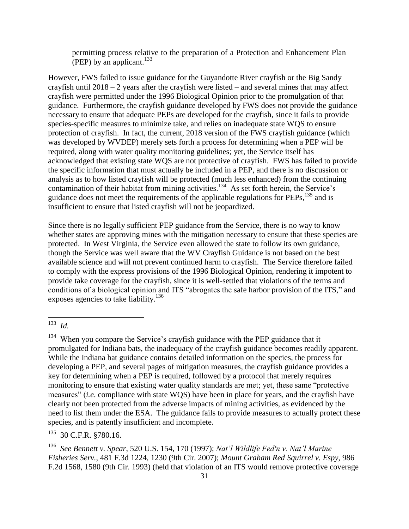permitting process relative to the preparation of a Protection and Enhancement Plan (PEP) by an applicant. $^{133}$ 

However, FWS failed to issue guidance for the Guyandotte River crayfish or the Big Sandy crayfish until  $2018 - 2$  years after the crayfish were listed – and several mines that may affect crayfish were permitted under the 1996 Biological Opinion prior to the promulgation of that guidance. Furthermore, the crayfish guidance developed by FWS does not provide the guidance necessary to ensure that adequate PEPs are developed for the crayfish, since it fails to provide species-specific measures to minimize take, and relies on inadequate state WQS to ensure protection of crayfish. In fact, the current, 2018 version of the FWS crayfish guidance (which was developed by WVDEP) merely sets forth a process for determining when a PEP will be required, along with water quality monitoring guidelines; yet, the Service itself has acknowledged that existing state WQS are not protective of crayfish. FWS has failed to provide the specific information that must actually be included in a PEP, and there is no discussion or analysis as to how listed crayfish will be protected (much less enhanced) from the continuing contamination of their habitat from mining activities.<sup>134</sup> As set forth herein, the Service's guidance does not meet the requirements of the applicable regulations for PEPs,<sup>135</sup> and is insufficient to ensure that listed crayfish will not be jeopardized.

Since there is no legally sufficient PEP guidance from the Service, there is no way to know whether states are approving mines with the mitigation necessary to ensure that these species are protected. In West Virginia, the Service even allowed the state to follow its own guidance, though the Service was well aware that the WV Crayfish Guidance is not based on the best available science and will not prevent continued harm to crayfish. The Service therefore failed to comply with the express provisions of the 1996 Biological Opinion, rendering it impotent to provide take coverage for the crayfish, since it is well-settled that violations of the terms and conditions of a biological opinion and ITS "abrogates the safe harbor provision of the ITS," and exposes agencies to take liability.<sup>136</sup>

 133 *Id.*

 $134$  When you compare the Service's crayfish guidance with the PEP guidance that it promulgated for Indiana bats, the inadequacy of the crayfish guidance becomes readily apparent. While the Indiana bat guidance contains detailed information on the species, the process for developing a PEP, and several pages of mitigation measures, the crayfish guidance provides a key for determining when a PEP is required, followed by a protocol that merely requires monitoring to ensure that existing water quality standards are met; yet, these same "protective measures" (*i.e*. compliance with state WQS) have been in place for years, and the crayfish have clearly not been protected from the adverse impacts of mining activities, as evidenced by the need to list them under the ESA. The guidance fails to provide measures to actually protect these species, and is patently insufficient and incomplete.

<sup>135</sup> 30 C.F.R. §780.16.

<sup>136</sup> *See Bennett v. Spear*, 520 U.S. 154, 170 (1997); *Nat'l Wildlife Fed'n v. Nat'l Marine Fisheries Serv.*, 481 F.3d 1224, 1230 (9th Cir. 2007); *Mount Graham Red Squirrel v. Espy*, 986 F.2d 1568, 1580 (9th Cir. 1993) (held that violation of an ITS would remove protective coverage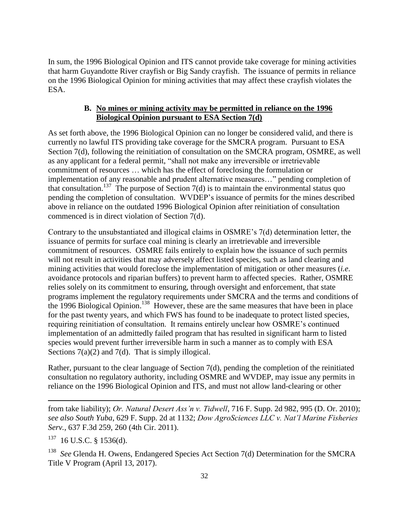In sum, the 1996 Biological Opinion and ITS cannot provide take coverage for mining activities that harm Guyandotte River crayfish or Big Sandy crayfish. The issuance of permits in reliance on the 1996 Biological Opinion for mining activities that may affect these crayfish violates the ESA.

## **B. No mines or mining activity may be permitted in reliance on the 1996 Biological Opinion pursuant to ESA Section 7(d)**

As set forth above, the 1996 Biological Opinion can no longer be considered valid, and there is currently no lawful ITS providing take coverage for the SMCRA program. Pursuant to ESA Section 7(d), following the reinitiation of consultation on the SMCRA program, OSMRE, as well as any applicant for a federal permit, "shall not make any irreversible or irretrievable commitment of resources … which has the effect of foreclosing the formulation or implementation of any reasonable and prudent alternative measures…" pending completion of that consultation.<sup>137</sup> The purpose of Section 7(d) is to maintain the environmental status quo pending the completion of consultation. WVDEP's issuance of permits for the mines described above in reliance on the outdated 1996 Biological Opinion after reinitiation of consultation commenced is in direct violation of Section 7(d).

Contrary to the unsubstantiated and illogical claims in OSMRE's 7(d) determination letter, the issuance of permits for surface coal mining is clearly an irretrievable and irreversible commitment of resources. OSMRE fails entirely to explain how the issuance of such permits will not result in activities that may adversely affect listed species, such as land clearing and mining activities that would foreclose the implementation of mitigation or other measures (*i.e*. avoidance protocols and riparian buffers) to prevent harm to affected species. Rather, OSMRE relies solely on its commitment to ensuring, through oversight and enforcement, that state programs implement the regulatory requirements under SMCRA and the terms and conditions of the 1996 Biological Opinion. <sup>138</sup> However, these are the same measures that have been in place for the past twenty years, and which FWS has found to be inadequate to protect listed species, requiring reinitiation of consultation. It remains entirely unclear how OSMRE's continued implementation of an admittedly failed program that has resulted in significant harm to listed species would prevent further irreversible harm in such a manner as to comply with ESA Sections 7(a)(2) and 7(d). That is simply illogical.

Rather, pursuant to the clear language of Section 7(d), pending the completion of the reinitiated consultation no regulatory authority, including OSMRE and WVDEP, may issue any permits in reliance on the 1996 Biological Opinion and ITS, and must not allow land-clearing or other

l from take liability); *Or. Natural Desert Ass'n v. Tidwell*, 716 F. Supp. 2d 982, 995 (D. Or. 2010); *see also South Yuba*, 629 F. Supp. 2d at 1132; *Dow AgroSciences LLC v. Nat'l Marine Fisheries Serv.*, 637 F.3d 259, 260 (4th Cir. 2011).

137 16 U.S.C. § 1536(d).

<sup>138</sup> See Glenda H. Owens, Endangered Species Act Section 7(d) Determination for the SMCRA Title V Program (April 13, 2017).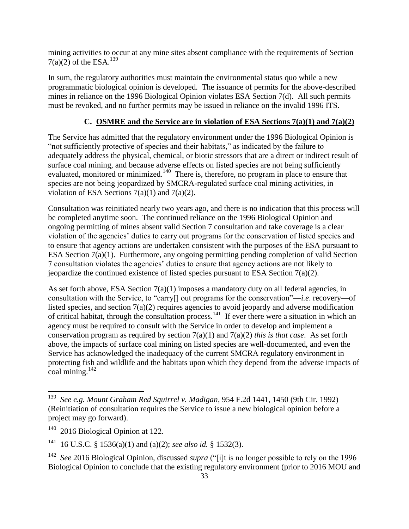mining activities to occur at any mine sites absent compliance with the requirements of Section  $7(a)(2)$  of the ESA.<sup>139</sup>

In sum, the regulatory authorities must maintain the environmental status quo while a new programmatic biological opinion is developed. The issuance of permits for the above-described mines in reliance on the 1996 Biological Opinion violates ESA Section 7(d). All such permits must be revoked, and no further permits may be issued in reliance on the invalid 1996 ITS.

## **C. OSMRE and the Service are in violation of ESA Sections 7(a)(1) and 7(a)(2)**

The Service has admitted that the regulatory environment under the 1996 Biological Opinion is "not sufficiently protective of species and their habitats," as indicated by the failure to adequately address the physical, chemical, or biotic stressors that are a direct or indirect result of surface coal mining, and because adverse effects on listed species are not being sufficiently evaluated, monitored or minimized.<sup>140</sup> There is, therefore, no program in place to ensure that species are not being jeopardized by SMCRA-regulated surface coal mining activities, in violation of ESA Sections  $7(a)(1)$  and  $7(a)(2)$ .

Consultation was reinitiated nearly two years ago, and there is no indication that this process will be completed anytime soon. The continued reliance on the 1996 Biological Opinion and ongoing permitting of mines absent valid Section 7 consultation and take coverage is a clear violation of the agencies' duties to carry out programs for the conservation of listed species and to ensure that agency actions are undertaken consistent with the purposes of the ESA pursuant to ESA Section 7(a)(1). Furthermore, any ongoing permitting pending completion of valid Section 7 consultation violates the agencies' duties to ensure that agency actions are not likely to jeopardize the continued existence of listed species pursuant to ESA Section 7(a)(2).

As set forth above, ESA Section  $7(a)(1)$  imposes a mandatory duty on all federal agencies, in consultation with the Service, to "carry[] out programs for the conservation"—*i.e*. recovery—of listed species, and section 7(a)(2) requires agencies to avoid jeopardy and adverse modification of critical habitat, through the consultation process.<sup>141</sup> If ever there were a situation in which an agency must be required to consult with the Service in order to develop and implement a conservation program as required by section 7(a)(1) and 7(a)(2) *this is that case*. As set forth above, the impacts of surface coal mining on listed species are well-documented, and even the Service has acknowledged the inadequacy of the current SMCRA regulatory environment in protecting fish and wildlife and the habitats upon which they depend from the adverse impacts of coal mining.<sup>142</sup>

<sup>139</sup>  *See e.g. Mount Graham Red Squirrel v. Madigan*, 954 F.2d 1441, 1450 (9th Cir. 1992) (Reinitiation of consultation requires the Service to issue a new biological opinion before a project may go forward).

<sup>140</sup> 2016 Biological Opinion at 122.

<sup>141</sup> 16 U.S.C. § 1536(a)(1) and (a)(2); *see also id.* § 1532(3).

<sup>&</sup>lt;sup>142</sup> See 2016 Biological Opinion, discussed *supra* ("[i]t is no longer possible to rely on the 1996 Biological Opinion to conclude that the existing regulatory environment (prior to 2016 MOU and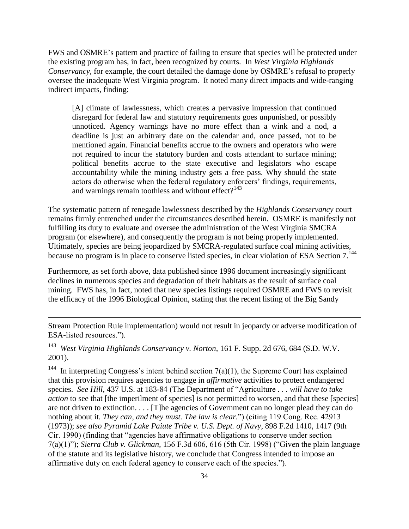FWS and OSMRE's pattern and practice of failing to ensure that species will be protected under the existing program has, in fact, been recognized by courts. In *West Virginia Highlands Conservancy*, for example, the court detailed the damage done by OSMRE's refusal to properly oversee the inadequate West Virginia program. It noted many direct impacts and wide-ranging indirect impacts, finding:

[A] climate of lawlessness, which creates a pervasive impression that continued disregard for federal law and statutory requirements goes unpunished, or possibly unnoticed. Agency warnings have no more effect than a wink and a nod, a deadline is just an arbitrary date on the calendar and, once passed, not to be mentioned again. Financial benefits accrue to the owners and operators who were not required to incur the statutory burden and costs attendant to surface mining; political benefits accrue to the state executive and legislators who escape accountability while the mining industry gets a free pass. Why should the state actors do otherwise when the federal regulatory enforcers' findings, requirements, and warnings remain toothless and without effect?<sup>143</sup>

The systematic pattern of renegade lawlessness described by the *Highlands Conservancy* court remains firmly entrenched under the circumstances described herein. OSMRE is manifestly not fulfilling its duty to evaluate and oversee the administration of the West Virginia SMCRA program (or elsewhere), and consequently the program is not being properly implemented. Ultimately, species are being jeopardized by SMCRA-regulated surface coal mining activities, because no program is in place to conserve listed species, in clear violation of ESA Section 7.<sup>144</sup>

Furthermore, as set forth above, data published since 1996 document increasingly significant declines in numerous species and degradation of their habitats as the result of surface coal mining. FWS has, in fact, noted that new species listings required OSMRE and FWS to revisit the efficacy of the 1996 Biological Opinion, stating that the recent listing of the Big Sandy

Stream Protection Rule implementation) would not result in jeopardy or adverse modification of ESA-listed resources.").

143 *West Virginia Highlands Conservancy v. Norton*, 161 F. Supp. 2d 676, 684 (S.D. W.V. 2001).

 $\overline{a}$ 

144 In interpreting Congress's intent behind section  $7(a)(1)$ , the Supreme Court has explained that this provision requires agencies to engage in *affirmative* activities to protect endangered species. *See Hill*, 437 U.S. at 183-84 (The Department of "Agriculture . . . *will have to take action* to see that [the imperilment of species] is not permitted to worsen, and that these [species] are not driven to extinction. . . . [T]he agencies of Government can no longer plead they can do nothing about it*. They can, and they must. The law is clear.*") (citing 119 Cong. Rec. 42913 (1973)); *see also Pyramid Lake Paiute Tribe v. U.S. Dept. of Navy*, 898 F.2d 1410, 1417 (9th Cir. 1990) (finding that "agencies have affirmative obligations to conserve under section 7(a)(1)"); *Sierra Club v. Glickman,* 156 F.3d 606, 616 (5th Cir. 1998) ("Given the plain language of the statute and its legislative history, we conclude that Congress intended to impose an affirmative duty on each federal agency to conserve each of the species.").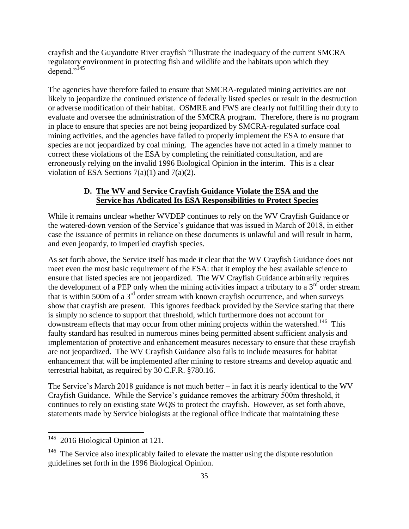crayfish and the Guyandotte River crayfish "illustrate the inadequacy of the current SMCRA regulatory environment in protecting fish and wildlife and the habitats upon which they depend."<sup>145</sup>

The agencies have therefore failed to ensure that SMCRA-regulated mining activities are not likely to jeopardize the continued existence of federally listed species or result in the destruction or adverse modification of their habitat. OSMRE and FWS are clearly not fulfilling their duty to evaluate and oversee the administration of the SMCRA program. Therefore, there is no program in place to ensure that species are not being jeopardized by SMCRA-regulated surface coal mining activities, and the agencies have failed to properly implement the ESA to ensure that species are not jeopardized by coal mining. The agencies have not acted in a timely manner to correct these violations of the ESA by completing the reinitiated consultation, and are erroneously relying on the invalid 1996 Biological Opinion in the interim. This is a clear violation of ESA Sections  $7(a)(1)$  and  $7(a)(2)$ .

#### **D. The WV and Service Crayfish Guidance Violate the ESA and the Service has Abdicated Its ESA Responsibilities to Protect Species**

While it remains unclear whether WVDEP continues to rely on the WV Crayfish Guidance or the watered-down version of the Service's guidance that was issued in March of 2018, in either case the issuance of permits in reliance on these documents is unlawful and will result in harm, and even jeopardy, to imperiled crayfish species.

As set forth above, the Service itself has made it clear that the WV Crayfish Guidance does not meet even the most basic requirement of the ESA: that it employ the best available science to ensure that listed species are not jeopardized. The WV Crayfish Guidance arbitrarily requires the development of a PEP only when the mining activities impact a tributary to a  $3<sup>rd</sup>$  order stream that is within 500m of a  $3<sup>rd</sup>$  order stream with known crayfish occurrence, and when surveys show that crayfish are present. This ignores feedback provided by the Service stating that there is simply no science to support that threshold, which furthermore does not account for downstream effects that may occur from other mining projects within the watershed. <sup>146</sup> This faulty standard has resulted in numerous mines being permitted absent sufficient analysis and implementation of protective and enhancement measures necessary to ensure that these crayfish are not jeopardized. The WV Crayfish Guidance also fails to include measures for habitat enhancement that will be implemented after mining to restore streams and develop aquatic and terrestrial habitat, as required by 30 C.F.R. §780.16.

The Service's March 2018 guidance is not much better – in fact it is nearly identical to the WV Crayfish Guidance. While the Service's guidance removes the arbitrary 500m threshold, it continues to rely on existing state WQS to protect the crayfish. However, as set forth above, statements made by Service biologists at the regional office indicate that maintaining these

 145 2016 Biological Opinion at 121.

 $146$  The Service also inexplicably failed to elevate the matter using the dispute resolution guidelines set forth in the 1996 Biological Opinion.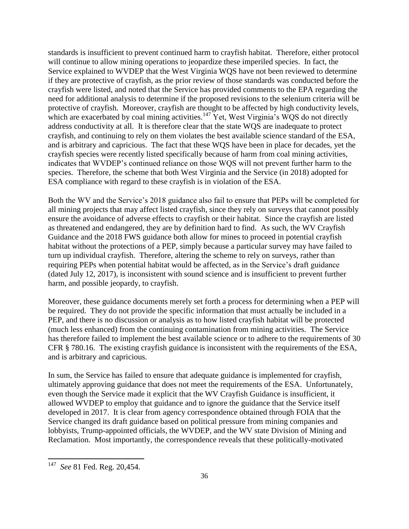standards is insufficient to prevent continued harm to crayfish habitat. Therefore, either protocol will continue to allow mining operations to jeopardize these imperiled species. In fact, the Service explained to WVDEP that the West Virginia WQS have not been reviewed to determine if they are protective of crayfish, as the prior review of those standards was conducted before the crayfish were listed, and noted that the Service has provided comments to the EPA regarding the need for additional analysis to determine if the proposed revisions to the selenium criteria will be protective of crayfish. Moreover, crayfish are thought to be affected by high conductivity levels, which are exacerbated by coal mining activities.<sup>147</sup> Yet, West Virginia's WQS do not directly address conductivity at all. It is therefore clear that the state WQS are inadequate to protect crayfish, and continuing to rely on them violates the best available science standard of the ESA, and is arbitrary and capricious. The fact that these WQS have been in place for decades, yet the crayfish species were recently listed specifically because of harm from coal mining activities, indicates that WVDEP's continued reliance on those WQS will not prevent further harm to the species. Therefore, the scheme that both West Virginia and the Service (in 2018) adopted for ESA compliance with regard to these crayfish is in violation of the ESA.

Both the WV and the Service's 2018 guidance also fail to ensure that PEPs will be completed for all mining projects that may affect listed crayfish, since they rely on surveys that cannot possibly ensure the avoidance of adverse effects to crayfish or their habitat. Since the crayfish are listed as threatened and endangered, they are by definition hard to find. As such, the WV Crayfish Guidance and the 2018 FWS guidance both allow for mines to proceed in potential crayfish habitat without the protections of a PEP, simply because a particular survey may have failed to turn up individual crayfish. Therefore, altering the scheme to rely on surveys, rather than requiring PEPs when potential habitat would be affected, as in the Service's draft guidance (dated July 12, 2017), is inconsistent with sound science and is insufficient to prevent further harm, and possible jeopardy, to crayfish.

Moreover, these guidance documents merely set forth a process for determining when a PEP will be required. They do not provide the specific information that must actually be included in a PEP, and there is no discussion or analysis as to how listed crayfish habitat will be protected (much less enhanced) from the continuing contamination from mining activities. The Service has therefore failed to implement the best available science or to adhere to the requirements of 30 CFR § 780.16. The existing crayfish guidance is inconsistent with the requirements of the ESA, and is arbitrary and capricious.

In sum, the Service has failed to ensure that adequate guidance is implemented for crayfish, ultimately approving guidance that does not meet the requirements of the ESA. Unfortunately, even though the Service made it explicit that the WV Crayfish Guidance is insufficient, it allowed WVDEP to employ that guidance and to ignore the guidance that the Service itself developed in 2017. It is clear from agency correspondence obtained through FOIA that the Service changed its draft guidance based on political pressure from mining companies and lobbyists, Trump-appointed officials, the WVDEP, and the WV state Division of Mining and Reclamation. Most importantly, the correspondence reveals that these politically-motivated

 147 *See* 81 Fed. Reg. 20,454.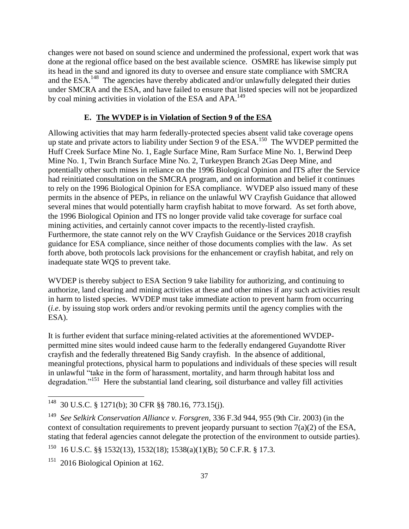changes were not based on sound science and undermined the professional, expert work that was done at the regional office based on the best available science. OSMRE has likewise simply put its head in the sand and ignored its duty to oversee and ensure state compliance with SMCRA and the ESA.<sup>148</sup> The agencies have thereby abdicated and/or unlawfully delegated their duties under SMCRA and the ESA, and have failed to ensure that listed species will not be jeopardized by coal mining activities in violation of the ESA and APA.<sup>149</sup>

#### **E. The WVDEP is in Violation of Section 9 of the ESA**

Allowing activities that may harm federally-protected species absent valid take coverage opens up state and private actors to liability under Section 9 of the ESA.<sup>150</sup> The WVDEP permitted the Huff Creek Surface Mine No. 1, Eagle Surface Mine, Ram Surface Mine No. 1, Berwind Deep Mine No. 1, Twin Branch Surface Mine No. 2, Turkeypen Branch 2Gas Deep Mine, and potentially other such mines in reliance on the 1996 Biological Opinion and ITS after the Service had reinitiated consultation on the SMCRA program, and on information and belief it continues to rely on the 1996 Biological Opinion for ESA compliance. WVDEP also issued many of these permits in the absence of PEPs, in reliance on the unlawful WV Crayfish Guidance that allowed several mines that would potentially harm crayfish habitat to move forward. As set forth above, the 1996 Biological Opinion and ITS no longer provide valid take coverage for surface coal mining activities, and certainly cannot cover impacts to the recently-listed crayfish. Furthermore, the state cannot rely on the WV Crayfish Guidance or the Services 2018 crayfish guidance for ESA compliance, since neither of those documents complies with the law. As set forth above, both protocols lack provisions for the enhancement or crayfish habitat, and rely on inadequate state WQS to prevent take.

WVDEP is thereby subject to ESA Section 9 take liability for authorizing, and continuing to authorize, land clearing and mining activities at these and other mines if any such activities result in harm to listed species. WVDEP must take immediate action to prevent harm from occurring (*i.e*. by issuing stop work orders and/or revoking permits until the agency complies with the ESA).

It is further evident that surface mining-related activities at the aforementioned WVDEPpermitted mine sites would indeed cause harm to the federally endangered Guyandotte River crayfish and the federally threatened Big Sandy crayfish. In the absence of additional, meaningful protections, physical harm to populations and individuals of these species will result in unlawful "take in the form of harassment, mortality, and harm through habitat loss and degradation."<sup>151</sup> Here the substantial land clearing, soil disturbance and valley fill activities

<sup>&</sup>lt;sup>148</sup> 30 U.S.C. § 1271(b); 30 CFR §§ 780.16, 773.15(j).

<sup>149</sup> *See Selkirk Conservation Alliance v. Forsgren*, 336 F.3d 944, 955 (9th Cir. 2003) (in the context of consultation requirements to prevent jeopardy pursuant to section 7(a)(2) of the ESA, stating that federal agencies cannot delegate the protection of the environment to outside parties).

<sup>150</sup> 16 U.S.C. §§ 1532(13), 1532(18); 1538(a)(1)(B); 50 C.F.R. § 17.3.

<sup>&</sup>lt;sup>151</sup> 2016 Biological Opinion at 162.